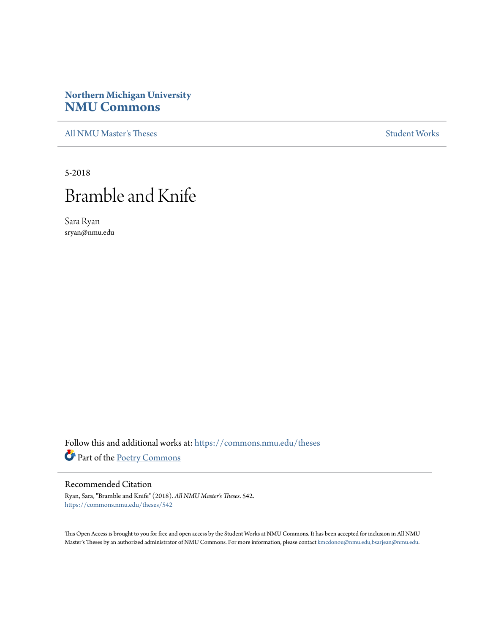### **Northern Michigan University [NMU Commons](https://commons.nmu.edu?utm_source=commons.nmu.edu%2Ftheses%2F542&utm_medium=PDF&utm_campaign=PDFCoverPages)**

[All NMU Master's Theses](https://commons.nmu.edu/theses?utm_source=commons.nmu.edu%2Ftheses%2F542&utm_medium=PDF&utm_campaign=PDFCoverPages) [Student Works](https://commons.nmu.edu/student_works?utm_source=commons.nmu.edu%2Ftheses%2F542&utm_medium=PDF&utm_campaign=PDFCoverPages)

5-2018

# Bramble and Knife

Sara Ryan sryan@nmu.edu

Follow this and additional works at: [https://commons.nmu.edu/theses](https://commons.nmu.edu/theses?utm_source=commons.nmu.edu%2Ftheses%2F542&utm_medium=PDF&utm_campaign=PDFCoverPages) Part of the [Poetry Commons](http://network.bepress.com/hgg/discipline/1153?utm_source=commons.nmu.edu%2Ftheses%2F542&utm_medium=PDF&utm_campaign=PDFCoverPages)

#### Recommended Citation

Ryan, Sara, "Bramble and Knife" (2018). *All NMU Master's Theses*. 542. [https://commons.nmu.edu/theses/542](https://commons.nmu.edu/theses/542?utm_source=commons.nmu.edu%2Ftheses%2F542&utm_medium=PDF&utm_campaign=PDFCoverPages)

This Open Access is brought to you for free and open access by the Student Works at NMU Commons. It has been accepted for inclusion in All NMU Master's Theses by an authorized administrator of NMU Commons. For more information, please contact [kmcdonou@nmu.edu,bsarjean@nmu.edu.](mailto:kmcdonou@nmu.edu,bsarjean@nmu.edu)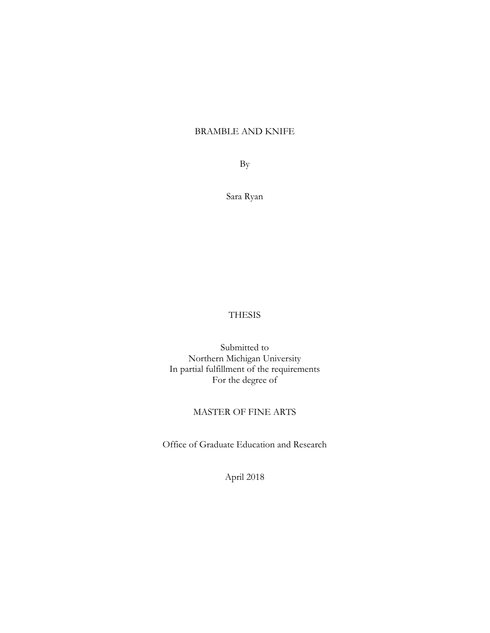#### BRAMBLE AND KNIFE

By

Sara Ryan

#### THESIS

Submitted to Northern Michigan University In partial fulfillment of the requirements For the degree of

#### MASTER OF FINE ARTS

Office of Graduate Education and Research

April 2018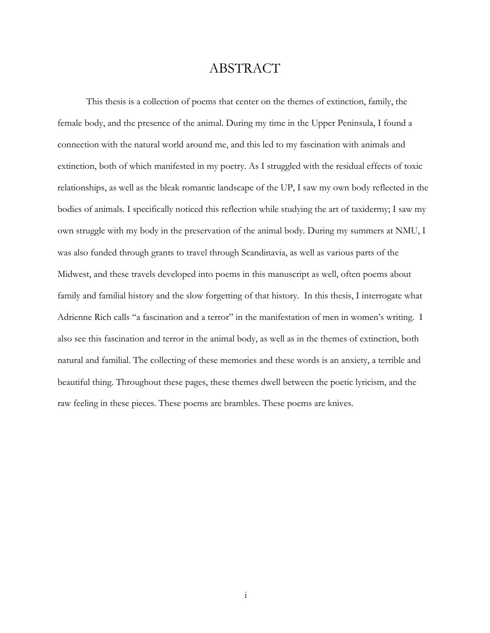### ABSTRACT

This thesis is a collection of poems that center on the themes of extinction, family, the female body, and the presence of the animal. During my time in the Upper Peninsula, I found a connection with the natural world around me, and this led to my fascination with animals and extinction, both of which manifested in my poetry. As I struggled with the residual effects of toxic relationships, as well as the bleak romantic landscape of the UP, I saw my own body reflected in the bodies of animals. I specifically noticed this reflection while studying the art of taxidermy; I saw my own struggle with my body in the preservation of the animal body. During my summers at NMU, I was also funded through grants to travel through Scandinavia, as well as various parts of the Midwest, and these travels developed into poems in this manuscript as well, often poems about family and familial history and the slow forgetting of that history. In this thesis, I interrogate what Adrienne Rich calls "a fascination and a terror" in the manifestation of men in women's writing. I also see this fascination and terror in the animal body, as well as in the themes of extinction, both natural and familial. The collecting of these memories and these words is an anxiety, a terrible and beautiful thing. Throughout these pages, these themes dwell between the poetic lyricism, and the raw feeling in these pieces. These poems are brambles. These poems are knives.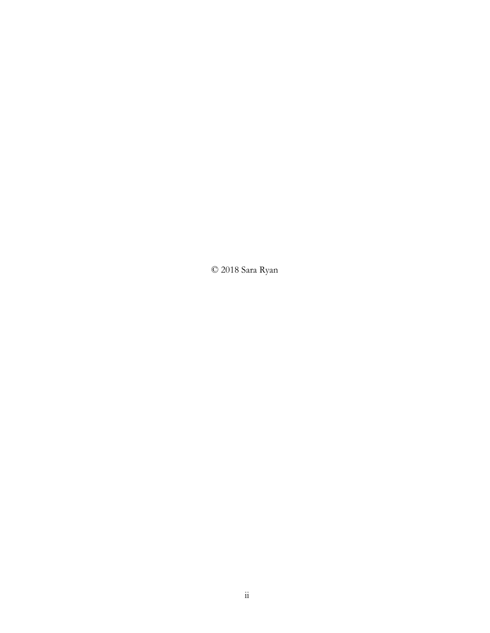© 2018 Sara Ryan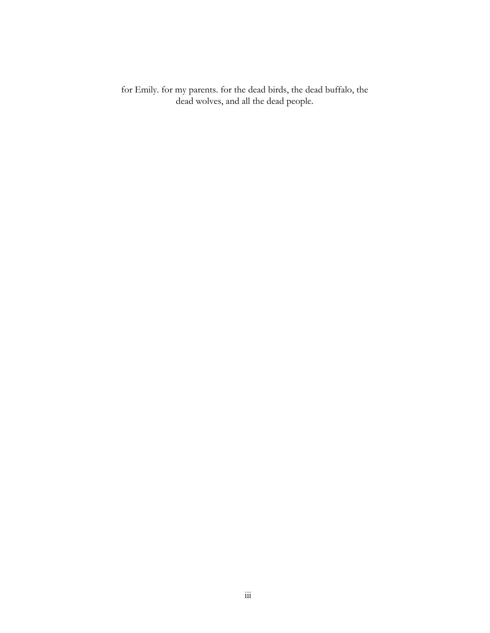for Emily. for my parents. for the dead birds, the dead buffalo, the dead wolves, and all the dead people.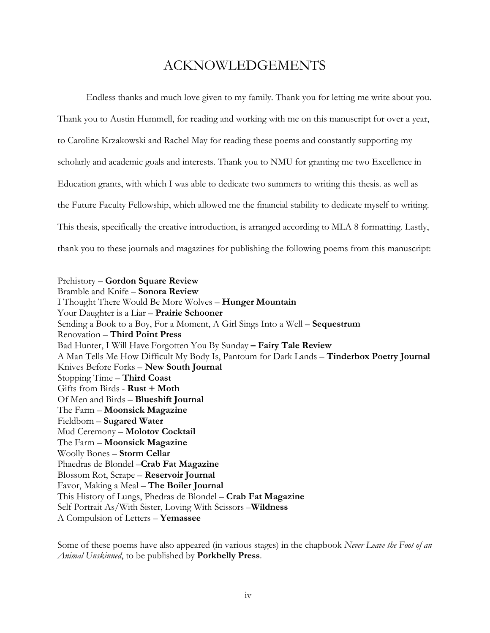### ACKNOWLEDGEMENTS

Endless thanks and much love given to my family. Thank you for letting me write about you. Thank you to Austin Hummell, for reading and working with me on this manuscript for over a year, to Caroline Krzakowski and Rachel May for reading these poems and constantly supporting my scholarly and academic goals and interests. Thank you to NMU for granting me two Excellence in Education grants, with which I was able to dedicate two summers to writing this thesis. as well as the Future Faculty Fellowship, which allowed me the financial stability to dedicate myself to writing. This thesis, specifically the creative introduction, is arranged according to MLA 8 formatting. Lastly, thank you to these journals and magazines for publishing the following poems from this manuscript:

Prehistory – **Gordon Square Review** Bramble and Knife – **Sonora Review** I Thought There Would Be More Wolves – **Hunger Mountain** Your Daughter is a Liar – **Prairie Schooner** Sending a Book to a Boy, For a Moment, A Girl Sings Into a Well – **Sequestrum** Renovation – **Third Point Press** Bad Hunter, I Will Have Forgotten You By Sunday **– Fairy Tale Review** A Man Tells Me How Difficult My Body Is, Pantoum for Dark Lands – **Tinderbox Poetry Journal** Knives Before Forks – **New South Journal** Stopping Time – **Third Coast** Gifts from Birds - **Rust + Moth** Of Men and Birds – **Blueshift Journal** The Farm – **Moonsick Magazine** Fieldborn – **Sugared Water**  Mud Ceremony – **Molotov Cocktail**  The Farm – **Moonsick Magazine** Woolly Bones – **Storm Cellar** Phaedras de Blondel –**Crab Fat Magazine** Blossom Rot, Scrape – **Reservoir Journal** Favor, Making a Meal – **The Boiler Journal** This History of Lungs, Phedras de Blondel – **Crab Fat Magazine** Self Portrait As/With Sister, Loving With Scissors –**Wildness** A Compulsion of Letters – **Yemassee**

Some of these poems have also appeared (in various stages) in the chapbook *Never Leave the Foot of an Animal Unskinned*, to be published by **Porkbelly Press**.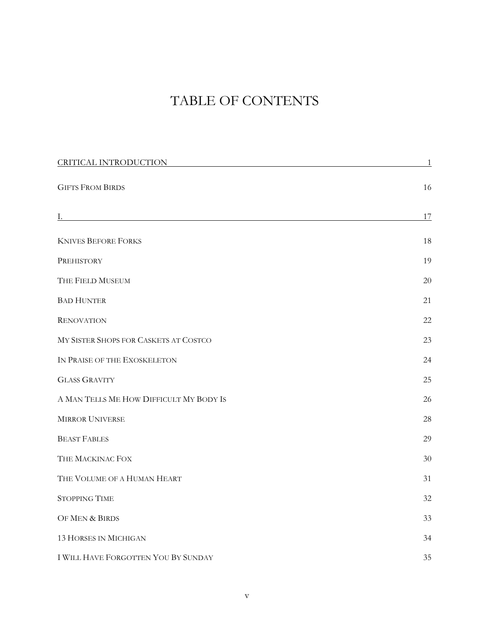## TABLE OF CONTENTS

| CRITICAL INTRODUCTION                   | $\overline{1}$ |
|-----------------------------------------|----------------|
| <b>GIFTS FROM BIRDS</b>                 | 16             |
|                                         | 17             |
| <b>KNIVES BEFORE FORKS</b>              | 18             |
| PREHISTORY                              | 19             |
| THE FIELD MUSEUM                        | 20             |
| <b>BAD HUNTER</b>                       | 21             |
| <b>RENOVATION</b>                       | 22             |
| MY SISTER SHOPS FOR CASKETS AT COSTCO   | 23             |
| IN PRAISE OF THE EXOSKELETON            | 24             |
| <b>GLASS GRAVITY</b>                    | 25             |
| A MAN TELLS ME HOW DIFFICULT MY BODY IS | 26             |
| <b>MIRROR UNIVERSE</b>                  | 28             |
| <b>BEAST FABLES</b>                     | 29             |
| THE MACKINAC FOX                        | 30             |
| THE VOLUME OF A HUMAN HEART             | 31             |
| <b>STOPPING TIME</b>                    | 32             |
| OF MEN & BIRDS                          | 33             |
| <b>13 HORSES IN MICHIGAN</b>            | 34             |
| I WILL HAVE FORGOTTEN YOU BY SUNDAY     | 35             |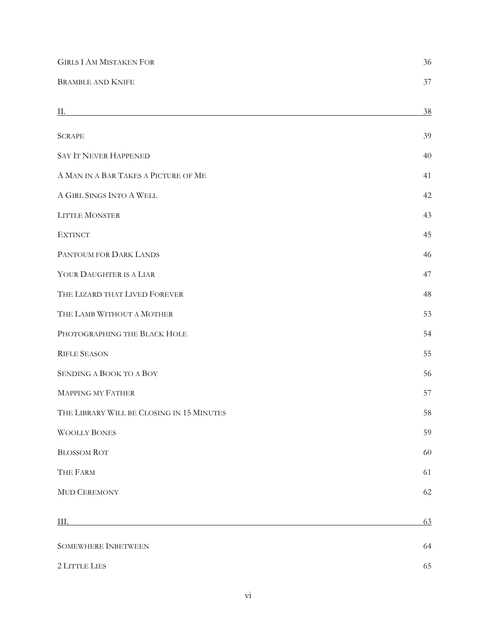| <b>GIRLS I AM MISTAKEN FOR</b>                                                                                                                                                                                                 | 36 |
|--------------------------------------------------------------------------------------------------------------------------------------------------------------------------------------------------------------------------------|----|
| <b>BRAMBLE AND KNIFE</b>                                                                                                                                                                                                       | 37 |
| Н.                                                                                                                                                                                                                             | 38 |
| <b>SCRAPE</b>                                                                                                                                                                                                                  | 39 |
| <b>SAY IT NEVER HAPPENED</b>                                                                                                                                                                                                   | 40 |
| A MAN IN A BAR TAKES A PICTURE OF ME                                                                                                                                                                                           | 41 |
| A GIRL SINGS INTO A WELL                                                                                                                                                                                                       | 42 |
| LITTLE MONSTER                                                                                                                                                                                                                 | 43 |
| <b>EXTINCT</b>                                                                                                                                                                                                                 | 45 |
| PANTOUM FOR DARK LANDS                                                                                                                                                                                                         | 46 |
| YOUR DAUGHTER IS A LIAR                                                                                                                                                                                                        | 47 |
| THE LIZARD THAT LIVED FOREVER                                                                                                                                                                                                  | 48 |
| THE LAMB WITHOUT A MOTHER                                                                                                                                                                                                      | 53 |
| PHOTOGRAPHING THE BLACK HOLE                                                                                                                                                                                                   | 54 |
| <b>RIFLE SEASON</b>                                                                                                                                                                                                            | 55 |
| SENDING A BOOK TO A BOY                                                                                                                                                                                                        | 56 |
| <b>MAPPING MY FATHER</b>                                                                                                                                                                                                       | 57 |
| THE LIBRARY WILL BE CLOSING IN 15 MINUTES                                                                                                                                                                                      | 58 |
| <b>WOOLLY BONES</b>                                                                                                                                                                                                            | 59 |
| <b>BLOSSOM ROT</b>                                                                                                                                                                                                             | 60 |
| THE FARM                                                                                                                                                                                                                       | 61 |
| MUD CEREMONY                                                                                                                                                                                                                   | 62 |
| III. And a strong of the strong strong strong strong strong strong strong strong strong strong strong strong strong strong strong strong strong strong strong strong strong strong strong strong strong strong strong strong s | 63 |
| <b>SOMEWHERE INBETWEEN</b>                                                                                                                                                                                                     | 64 |
| 2 LITTLE LIES                                                                                                                                                                                                                  | 65 |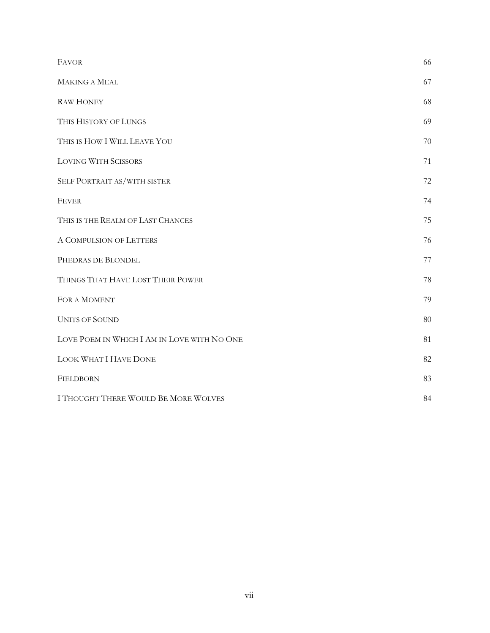| <b>FAVOR</b>                                | 66 |
|---------------------------------------------|----|
| <b>MAKING A MEAL</b>                        | 67 |
| <b>RAW HONEY</b>                            | 68 |
| THIS HISTORY OF LUNGS                       | 69 |
| THIS IS HOW I WILL LEAVE YOU                | 70 |
| <b>LOVING WITH SCISSORS</b>                 | 71 |
| SELF PORTRAIT AS/WITH SISTER                | 72 |
| <b>FEVER</b>                                | 74 |
| THIS IS THE REALM OF LAST CHANCES           | 75 |
| A COMPULSION OF LETTERS                     | 76 |
| PHEDRAS DE BLONDEL                          | 77 |
| THINGS THAT HAVE LOST THEIR POWER           | 78 |
| FOR A MOMENT                                | 79 |
| <b>UNITS OF SOUND</b>                       | 80 |
| LOVE POEM IN WHICH I AM IN LOVE WITH NO ONE | 81 |
| LOOK WHAT I HAVE DONE                       | 82 |
| FIELDBORN                                   | 83 |
| I THOUGHT THERE WOULD BE MORE WOLVES        | 84 |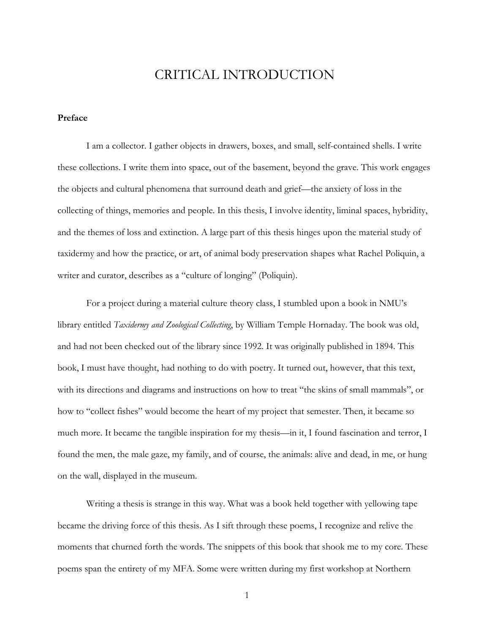### CRITICAL INTRODUCTION

#### **Preface**

I am a collector. I gather objects in drawers, boxes, and small, self-contained shells. I write these collections. I write them into space, out of the basement, beyond the grave. This work engages the objects and cultural phenomena that surround death and grief—the anxiety of loss in the collecting of things, memories and people. In this thesis, I involve identity, liminal spaces, hybridity, and the themes of loss and extinction. A large part of this thesis hinges upon the material study of taxidermy and how the practice, or art, of animal body preservation shapes what Rachel Poliquin, a writer and curator, describes as a "culture of longing" (Poliquin).

For a project during a material culture theory class, I stumbled upon a book in NMU's library entitled *Taxidermy and Zoological Collecting*, by William Temple Hornaday. The book was old, and had not been checked out of the library since 1992. It was originally published in 1894. This book, I must have thought, had nothing to do with poetry. It turned out, however, that this text, with its directions and diagrams and instructions on how to treat "the skins of small mammals", or how to "collect fishes" would become the heart of my project that semester. Then, it became so much more. It became the tangible inspiration for my thesis—in it, I found fascination and terror, I found the men, the male gaze, my family, and of course, the animals: alive and dead, in me, or hung on the wall, displayed in the museum.

Writing a thesis is strange in this way. What was a book held together with yellowing tape became the driving force of this thesis. As I sift through these poems, I recognize and relive the moments that churned forth the words. The snippets of this book that shook me to my core. These poems span the entirety of my MFA. Some were written during my first workshop at Northern

1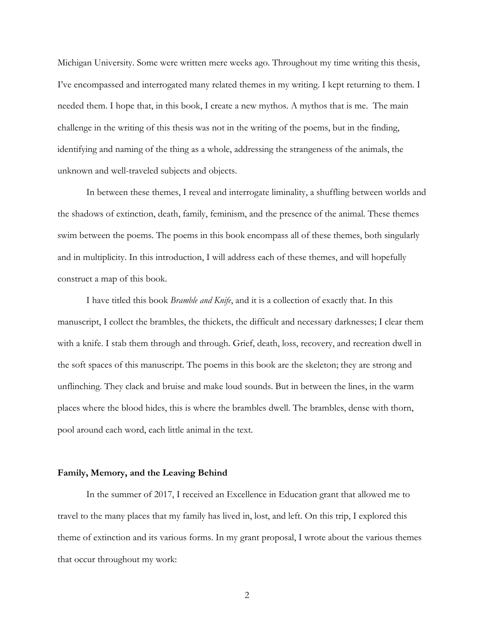Michigan University. Some were written mere weeks ago. Throughout my time writing this thesis, I've encompassed and interrogated many related themes in my writing. I kept returning to them. I needed them. I hope that, in this book, I create a new mythos. A mythos that is me. The main challenge in the writing of this thesis was not in the writing of the poems, but in the finding, identifying and naming of the thing as a whole, addressing the strangeness of the animals, the unknown and well-traveled subjects and objects.

In between these themes, I reveal and interrogate liminality, a shuffling between worlds and the shadows of extinction, death, family, feminism, and the presence of the animal. These themes swim between the poems. The poems in this book encompass all of these themes, both singularly and in multiplicity. In this introduction, I will address each of these themes, and will hopefully construct a map of this book.

I have titled this book *Bramble and Knife*, and it is a collection of exactly that. In this manuscript, I collect the brambles, the thickets, the difficult and necessary darknesses; I clear them with a knife. I stab them through and through. Grief, death, loss, recovery, and recreation dwell in the soft spaces of this manuscript. The poems in this book are the skeleton; they are strong and unflinching. They clack and bruise and make loud sounds. But in between the lines, in the warm places where the blood hides, this is where the brambles dwell. The brambles, dense with thorn, pool around each word, each little animal in the text.

#### **Family, Memory, and the Leaving Behind**

In the summer of 2017, I received an Excellence in Education grant that allowed me to travel to the many places that my family has lived in, lost, and left. On this trip, I explored this theme of extinction and its various forms. In my grant proposal, I wrote about the various themes that occur throughout my work:

2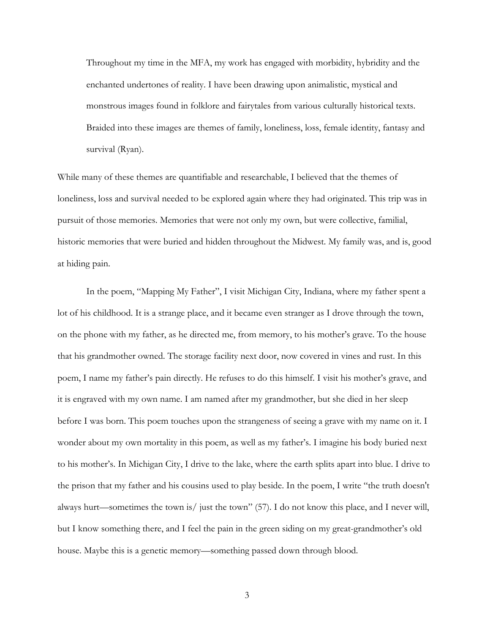Throughout my time in the MFA, my work has engaged with morbidity, hybridity and the enchanted undertones of reality. I have been drawing upon animalistic, mystical and monstrous images found in folklore and fairytales from various culturally historical texts. Braided into these images are themes of family, loneliness, loss, female identity, fantasy and survival (Ryan).

While many of these themes are quantifiable and researchable, I believed that the themes of loneliness, loss and survival needed to be explored again where they had originated. This trip was in pursuit of those memories. Memories that were not only my own, but were collective, familial, historic memories that were buried and hidden throughout the Midwest. My family was, and is, good at hiding pain.

In the poem, "Mapping My Father", I visit Michigan City, Indiana, where my father spent a lot of his childhood. It is a strange place, and it became even stranger as I drove through the town, on the phone with my father, as he directed me, from memory, to his mother's grave. To the house that his grandmother owned. The storage facility next door, now covered in vines and rust. In this poem, I name my father's pain directly. He refuses to do this himself. I visit his mother's grave, and it is engraved with my own name. I am named after my grandmother, but she died in her sleep before I was born. This poem touches upon the strangeness of seeing a grave with my name on it. I wonder about my own mortality in this poem, as well as my father's. I imagine his body buried next to his mother's. In Michigan City, I drive to the lake, where the earth splits apart into blue. I drive to the prison that my father and his cousins used to play beside. In the poem, I write "the truth doesn't always hurt—sometimes the town is/ just the town" (57). I do not know this place, and I never will, but I know something there, and I feel the pain in the green siding on my great-grandmother's old house. Maybe this is a genetic memory—something passed down through blood.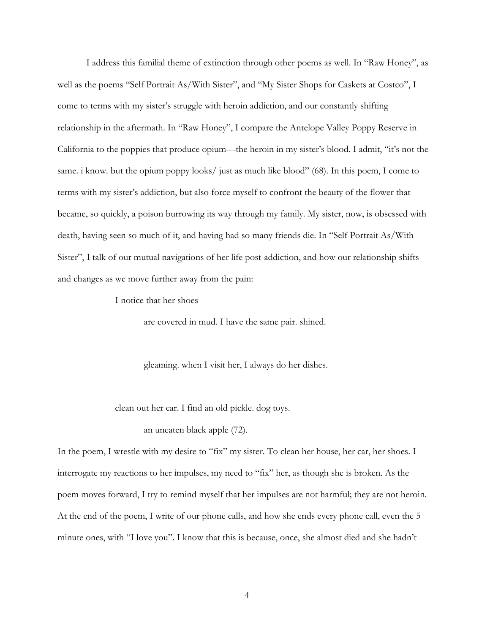I address this familial theme of extinction through other poems as well. In "Raw Honey", as well as the poems "Self Portrait As/With Sister", and "My Sister Shops for Caskets at Costco", I come to terms with my sister's struggle with heroin addiction, and our constantly shifting relationship in the aftermath. In "Raw Honey", I compare the Antelope Valley Poppy Reserve in California to the poppies that produce opium—the heroin in my sister's blood. I admit, "it's not the same. i know. but the opium poppy looks/ just as much like blood" (68). In this poem, I come to terms with my sister's addiction, but also force myself to confront the beauty of the flower that became, so quickly, a poison burrowing its way through my family. My sister, now, is obsessed with death, having seen so much of it, and having had so many friends die. In "Self Portrait As/With Sister", I talk of our mutual navigations of her life post-addiction, and how our relationship shifts and changes as we move further away from the pain:

I notice that her shoes

are covered in mud. I have the same pair. shined.

gleaming. when I visit her, I always do her dishes.

clean out her car. I find an old pickle. dog toys.

an uneaten black apple (72).

In the poem, I wrestle with my desire to "fix" my sister. To clean her house, her car, her shoes. I interrogate my reactions to her impulses, my need to "fix" her, as though she is broken. As the poem moves forward, I try to remind myself that her impulses are not harmful; they are not heroin. At the end of the poem, I write of our phone calls, and how she ends every phone call, even the 5 minute ones, with "I love you". I know that this is because, once, she almost died and she hadn't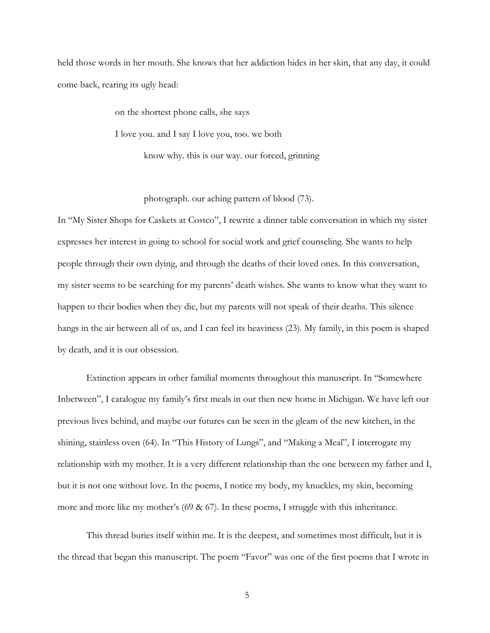held those words in her mouth. She knows that her addiction hides in her skin, that any day, it could come back, rearing its ugly head:

> on the shortest phone calls, she says I love you. and I say I love you, too. we both know why. this is our way. our forced, grinning

> > photograph. our aching pattern of blood (73).

In "My Sister Shops for Caskets at Costco", I rewrite a dinner table conversation in which my sister expresses her interest in going to school for social work and grief counseling. She wants to help people through their own dying, and through the deaths of their loved ones. In this conversation, my sister seems to be searching for my parents' death wishes. She wants to know what they want to happen to their bodies when they die, but my parents will not speak of their deaths. This silence hangs in the air between all of us, and I can feel its heaviness (23). My family, in this poem is shaped by death, and it is our obsession.

Extinction appears in other familial moments throughout this manuscript. In "Somewhere Inbetween", I catalogue my family's first meals in our then new home in Michigan. We have left our previous lives behind, and maybe our futures can be seen in the gleam of the new kitchen, in the shining, stainless oven (64). In "This History of Lungs", and "Making a Meal", I interrogate my relationship with my mother. It is a very different relationship than the one between my father and I, but it is not one without love. In the poems, I notice my body, my knuckles, my skin, becoming more and more like my mother's  $(69 \& 67)$ . In these poems, I struggle with this inheritance.

This thread buries itself within me. It is the deepest, and sometimes most difficult, but it is the thread that began this manuscript. The poem "Favor" was one of the first poems that I wrote in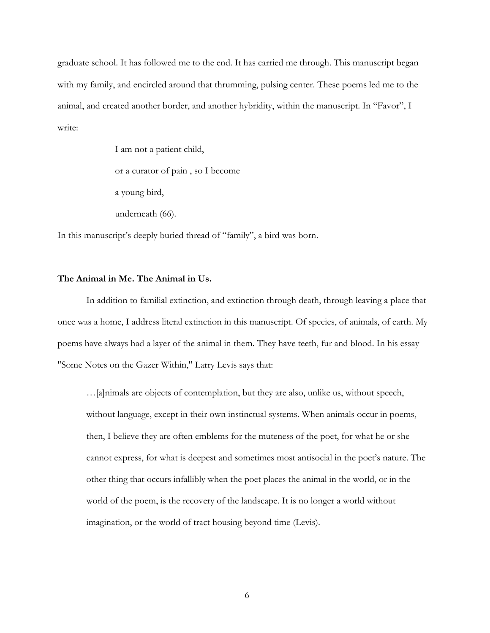graduate school. It has followed me to the end. It has carried me through. This manuscript began with my family, and encircled around that thrumming, pulsing center. These poems led me to the animal, and created another border, and another hybridity, within the manuscript. In "Favor", I write:

> I am not a patient child, or a curator of pain , so I become a young bird, underneath (66).

In this manuscript's deeply buried thread of "family", a bird was born.

#### **The Animal in Me. The Animal in Us.**

In addition to familial extinction, and extinction through death, through leaving a place that once was a home, I address literal extinction in this manuscript. Of species, of animals, of earth. My poems have always had a layer of the animal in them. They have teeth, fur and blood. In his essay "Some Notes on the Gazer Within," Larry Levis says that:

…[a]nimals are objects of contemplation, but they are also, unlike us, without speech, without language, except in their own instinctual systems. When animals occur in poems, then, I believe they are often emblems for the muteness of the poet, for what he or she cannot express, for what is deepest and sometimes most antisocial in the poet's nature. The other thing that occurs infallibly when the poet places the animal in the world, or in the world of the poem, is the recovery of the landscape. It is no longer a world without imagination, or the world of tract housing beyond time (Levis).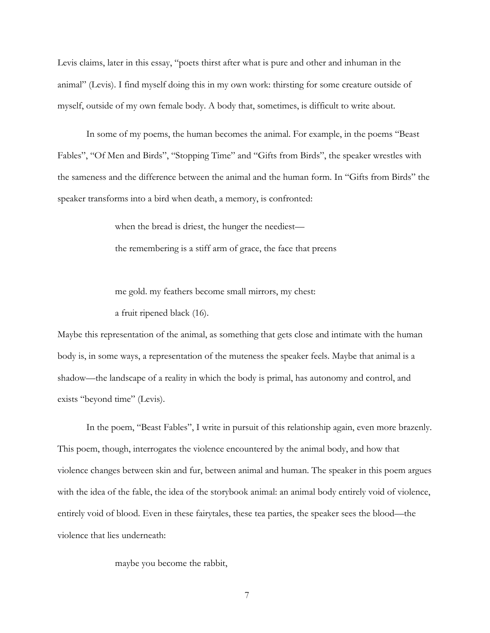Levis claims, later in this essay, "poets thirst after what is pure and other and inhuman in the animal" (Levis). I find myself doing this in my own work: thirsting for some creature outside of myself, outside of my own female body. A body that, sometimes, is difficult to write about.

In some of my poems, the human becomes the animal. For example, in the poems "Beast Fables", "Of Men and Birds", "Stopping Time" and "Gifts from Birds", the speaker wrestles with the sameness and the difference between the animal and the human form. In "Gifts from Birds" the speaker transforms into a bird when death, a memory, is confronted:

> when the bread is driest, the hunger the neediest the remembering is a stiff arm of grace, the face that preens

me gold. my feathers become small mirrors, my chest:

a fruit ripened black (16).

Maybe this representation of the animal, as something that gets close and intimate with the human body is, in some ways, a representation of the muteness the speaker feels. Maybe that animal is a shadow—the landscape of a reality in which the body is primal, has autonomy and control, and exists "beyond time" (Levis).

In the poem, "Beast Fables", I write in pursuit of this relationship again, even more brazenly. This poem, though, interrogates the violence encountered by the animal body, and how that violence changes between skin and fur, between animal and human. The speaker in this poem argues with the idea of the fable, the idea of the storybook animal: an animal body entirely void of violence, entirely void of blood. Even in these fairytales, these tea parties, the speaker sees the blood—the violence that lies underneath:

maybe you become the rabbit,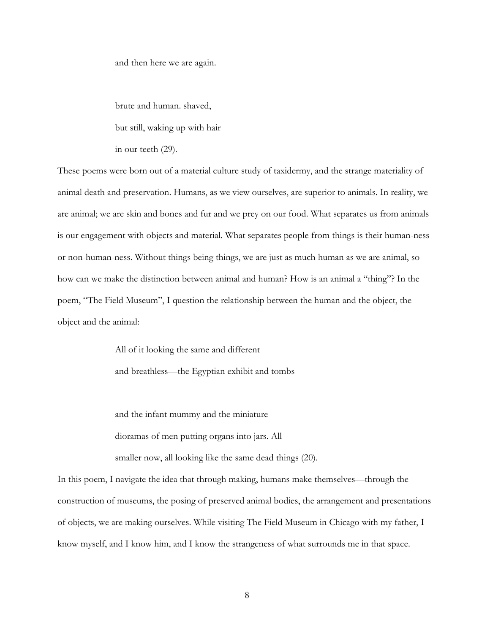and then here we are again.

brute and human. shaved, but still, waking up with hair in our teeth (29).

These poems were born out of a material culture study of taxidermy, and the strange materiality of animal death and preservation. Humans, as we view ourselves, are superior to animals. In reality, we are animal; we are skin and bones and fur and we prey on our food. What separates us from animals is our engagement with objects and material. What separates people from things is their human-ness or non-human-ness. Without things being things, we are just as much human as we are animal, so how can we make the distinction between animal and human? How is an animal a "thing"? In the poem, "The Field Museum", I question the relationship between the human and the object, the object and the animal:

> All of it looking the same and different and breathless—the Egyptian exhibit and tombs

and the infant mummy and the miniature dioramas of men putting organs into jars. All smaller now, all looking like the same dead things (20).

In this poem, I navigate the idea that through making, humans make themselves—through the construction of museums, the posing of preserved animal bodies, the arrangement and presentations of objects, we are making ourselves. While visiting The Field Museum in Chicago with my father, I know myself, and I know him, and I know the strangeness of what surrounds me in that space.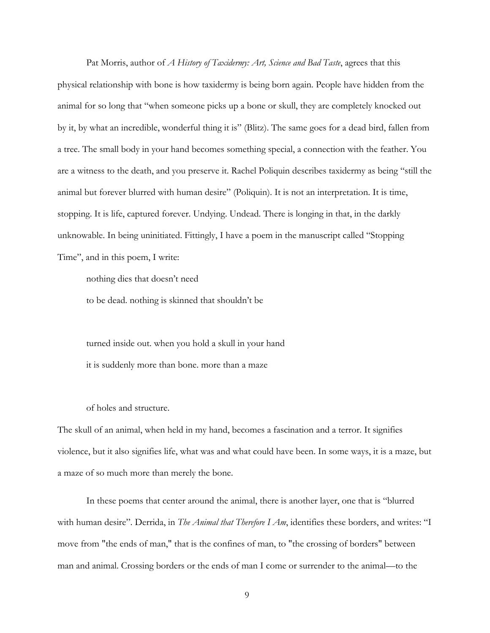Pat Morris, author of *A History of Taxidermy: Art, Science and Bad Taste*, agrees that this physical relationship with bone is how taxidermy is being born again. People have hidden from the animal for so long that "when someone picks up a bone or skull, they are completely knocked out by it, by what an incredible, wonderful thing it is" (Blitz). The same goes for a dead bird, fallen from a tree. The small body in your hand becomes something special, a connection with the feather. You are a witness to the death, and you preserve it. Rachel Poliquin describes taxidermy as being "still the animal but forever blurred with human desire" (Poliquin). It is not an interpretation. It is time, stopping. It is life, captured forever. Undying. Undead. There is longing in that, in the darkly unknowable. In being uninitiated. Fittingly, I have a poem in the manuscript called "Stopping Time", and in this poem, I write:

nothing dies that doesn't need

to be dead. nothing is skinned that shouldn't be

turned inside out. when you hold a skull in your hand it is suddenly more than bone. more than a maze

of holes and structure.

The skull of an animal, when held in my hand, becomes a fascination and a terror. It signifies violence, but it also signifies life, what was and what could have been. In some ways, it is a maze, but a maze of so much more than merely the bone.

In these poems that center around the animal, there is another layer, one that is "blurred with human desire". Derrida, in *The Animal that Therefore I Am*, identifies these borders, and writes: "I move from "the ends of man," that is the confines of man, to "the crossing of borders" between man and animal. Crossing borders or the ends of man I come or surrender to the animal—to the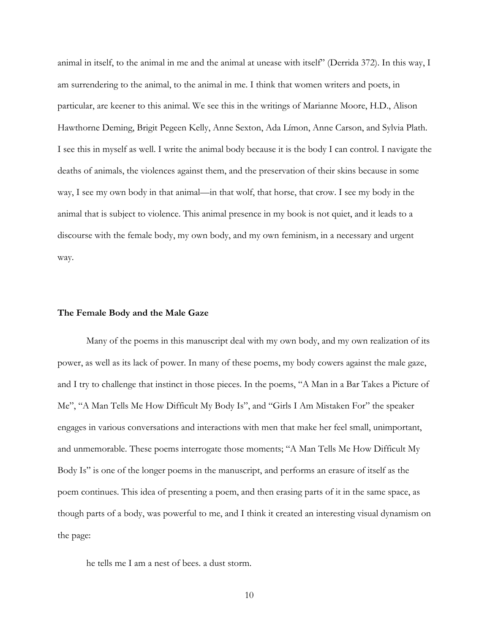animal in itself, to the animal in me and the animal at unease with itself" (Derrida 372). In this way, I am surrendering to the animal, to the animal in me. I think that women writers and poets, in particular, are keener to this animal. We see this in the writings of Marianne Moore, H.D., Alison Hawthorne Deming, Brigit Pegeen Kelly, Anne Sexton, Ada Límon, Anne Carson, and Sylvia Plath. I see this in myself as well. I write the animal body because it is the body I can control. I navigate the deaths of animals, the violences against them, and the preservation of their skins because in some way, I see my own body in that animal—in that wolf, that horse, that crow. I see my body in the animal that is subject to violence. This animal presence in my book is not quiet, and it leads to a discourse with the female body, my own body, and my own feminism, in a necessary and urgent way.

#### **The Female Body and the Male Gaze**

Many of the poems in this manuscript deal with my own body, and my own realization of its power, as well as its lack of power. In many of these poems, my body cowers against the male gaze, and I try to challenge that instinct in those pieces. In the poems, "A Man in a Bar Takes a Picture of Me", "A Man Tells Me How Difficult My Body Is", and "Girls I Am Mistaken For" the speaker engages in various conversations and interactions with men that make her feel small, unimportant, and unmemorable. These poems interrogate those moments; "A Man Tells Me How Difficult My Body Is" is one of the longer poems in the manuscript, and performs an erasure of itself as the poem continues. This idea of presenting a poem, and then erasing parts of it in the same space, as though parts of a body, was powerful to me, and I think it created an interesting visual dynamism on the page:

he tells me I am a nest of bees. a dust storm.

10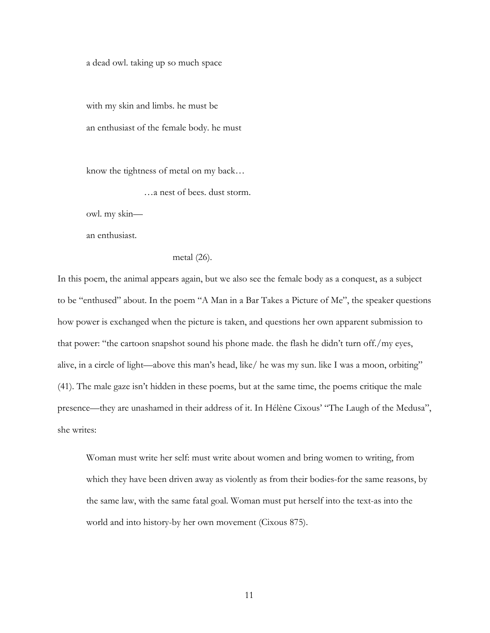a dead owl. taking up so much space

with my skin and limbs. he must be an enthusiast of the female body. he must

know the tightness of metal on my back…

…a nest of bees. dust storm.

owl. my skin—

an enthusiast.

metal (26).

In this poem, the animal appears again, but we also see the female body as a conquest, as a subject to be "enthused" about. In the poem "A Man in a Bar Takes a Picture of Me", the speaker questions how power is exchanged when the picture is taken, and questions her own apparent submission to that power: "the cartoon snapshot sound his phone made. the flash he didn't turn off./my eyes, alive, in a circle of light—above this man's head, like/ he was my sun. like I was a moon, orbiting" (41). The male gaze isn't hidden in these poems, but at the same time, the poems critique the male presence—they are unashamed in their address of it. In Hélène Cixous' "The Laugh of the Medusa", she writes:

Woman must write her self: must write about women and bring women to writing, from which they have been driven away as violently as from their bodies-for the same reasons, by the same law, with the same fatal goal. Woman must put herself into the text-as into the world and into history-by her own movement (Cixous 875).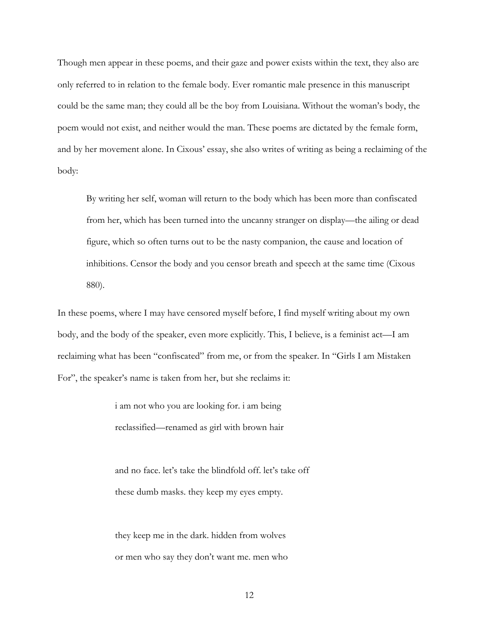Though men appear in these poems, and their gaze and power exists within the text, they also are only referred to in relation to the female body. Ever romantic male presence in this manuscript could be the same man; they could all be the boy from Louisiana. Without the woman's body, the poem would not exist, and neither would the man. These poems are dictated by the female form, and by her movement alone. In Cixous' essay, she also writes of writing as being a reclaiming of the body:

By writing her self, woman will return to the body which has been more than confiscated from her, which has been turned into the uncanny stranger on display—the ailing or dead figure, which so often turns out to be the nasty companion, the cause and location of inhibitions. Censor the body and you censor breath and speech at the same time (Cixous 880).

In these poems, where I may have censored myself before, I find myself writing about my own body, and the body of the speaker, even more explicitly. This, I believe, is a feminist act—I am reclaiming what has been "confiscated" from me, or from the speaker. In "Girls I am Mistaken For", the speaker's name is taken from her, but she reclaims it:

> i am not who you are looking for. i am being reclassified—renamed as girl with brown hair

and no face. let's take the blindfold off. let's take off these dumb masks. they keep my eyes empty.

they keep me in the dark. hidden from wolves or men who say they don't want me. men who

12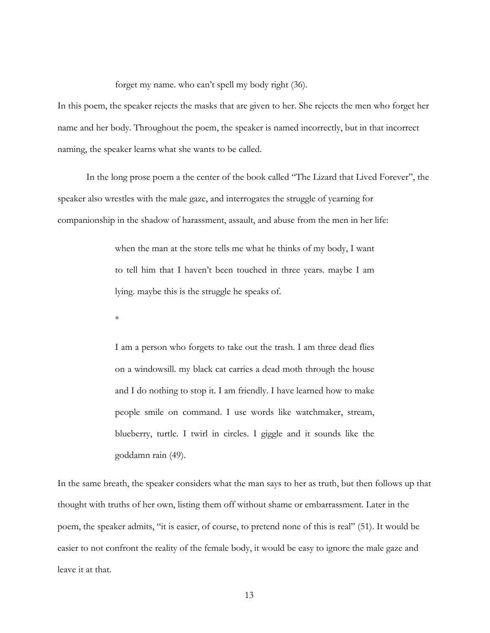forget my name. who can't spell my body right (36).

In this poem, the speaker rejects the masks that are given to her. She rejects the men who forget her name and her body. Throughout the poem, the speaker is named incorrectly, but in that incorrect naming, the speaker learns what she wants to be called.

In the long prose poem a the center of the book called "The Lizard that Lived Forever", the speaker also wrestles with the male gaze, and interrogates the struggle of yearning for companionship in the shadow of harassment, assault, and abuse from the men in her life:

> when the man at the store tells me what he thinks of my body, I want to tell him that I haven't been touched in three years. maybe I am lying. maybe this is the struggle he speaks of.

\*

I am a person who forgets to take out the trash. I am three dead flies on a windowsill. my black cat carries a dead moth through the house and I do nothing to stop it. I am friendly. I have learned how to make people smile on command. I use words like watchmaker, stream, blueberry, turtle. I twirl in circles. I giggle and it sounds like the goddamn rain (49).

In the same breath, the speaker considers what the man says to her as truth, but then follows up that thought with truths of her own, listing them off without shame or embarrassment. Later in the poem, the speaker admits, "it is easier, of course, to pretend none of this is real" (51). It would be easier to not confront the reality of the female body, it would be easy to ignore the male gaze and leave it at that.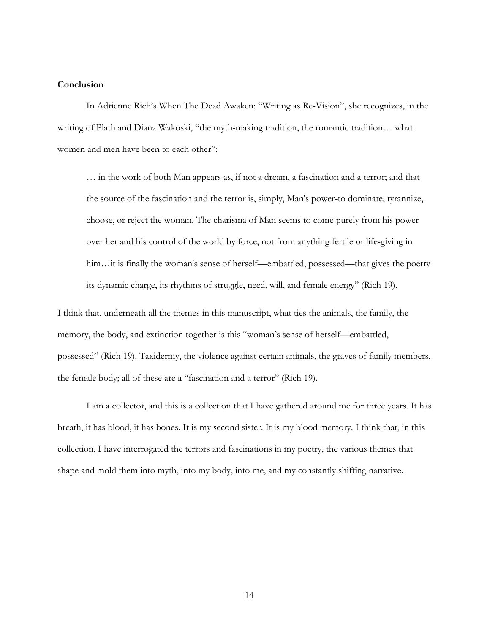#### **Conclusion**

In Adrienne Rich's When The Dead Awaken: "Writing as Re-Vision", she recognizes, in the writing of Plath and Diana Wakoski, "the myth-making tradition, the romantic tradition… what women and men have been to each other":

… in the work of both Man appears as, if not a dream, a fascination and a terror; and that the source of the fascination and the terror is, simply, Man's power-to dominate, tyrannize, choose, or reject the woman. The charisma of Man seems to come purely from his power over her and his control of the world by force, not from anything fertile or life-giving in him...it is finally the woman's sense of herself—embattled, possessed—that gives the poetry its dynamic charge, its rhythms of struggle, need, will, and female energy" (Rich 19).

I think that, underneath all the themes in this manuscript, what ties the animals, the family, the memory, the body, and extinction together is this "woman's sense of herself—embattled, possessed" (Rich 19). Taxidermy, the violence against certain animals, the graves of family members, the female body; all of these are a "fascination and a terror" (Rich 19).

I am a collector, and this is a collection that I have gathered around me for three years. It has breath, it has blood, it has bones. It is my second sister. It is my blood memory. I think that, in this collection, I have interrogated the terrors and fascinations in my poetry, the various themes that shape and mold them into myth, into my body, into me, and my constantly shifting narrative.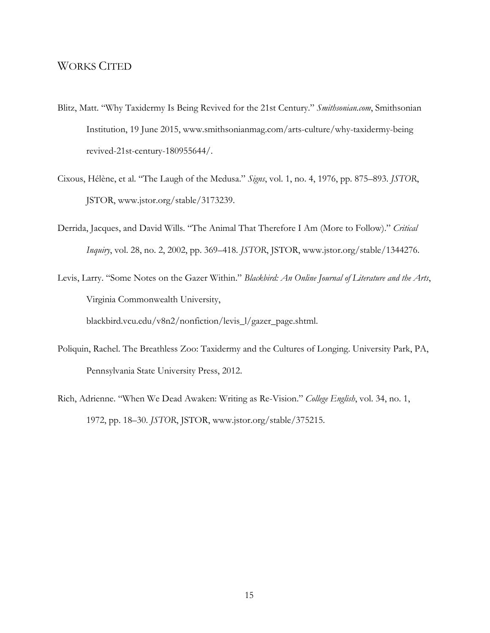#### WORKS CITED

- Blitz, Matt. "Why Taxidermy Is Being Revived for the 21st Century." *Smithsonian.com*, Smithsonian Institution, 19 June 2015, www.smithsonianmag.com/arts-culture/why-taxidermy-being revived-21st-century-180955644/.
- Cixous, Hélène, et al. "The Laugh of the Medusa." *Signs*, vol. 1, no. 4, 1976, pp. 875–893. *JSTOR*, JSTOR, www.jstor.org/stable/3173239.
- Derrida, Jacques, and David Wills. "The Animal That Therefore I Am (More to Follow)." *Critical Inquiry*, vol. 28, no. 2, 2002, pp. 369–418. *JSTOR*, JSTOR, www.jstor.org/stable/1344276.
- Levis, Larry. "Some Notes on the Gazer Within." *Blackbird: An Online Journal of Literature and the Arts*, Virginia Commonwealth University, blackbird.vcu.edu/v8n2/nonfiction/levis\_l/gazer\_page.shtml.
- Poliquin, Rachel. The Breathless Zoo: Taxidermy and the Cultures of Longing. University Park, PA, Pennsylvania State University Press, 2012.
- Rich, Adrienne. "When We Dead Awaken: Writing as Re-Vision." *College English*, vol. 34, no. 1, 1972, pp. 18–30. *JSTOR*, JSTOR, www.jstor.org/stable/375215.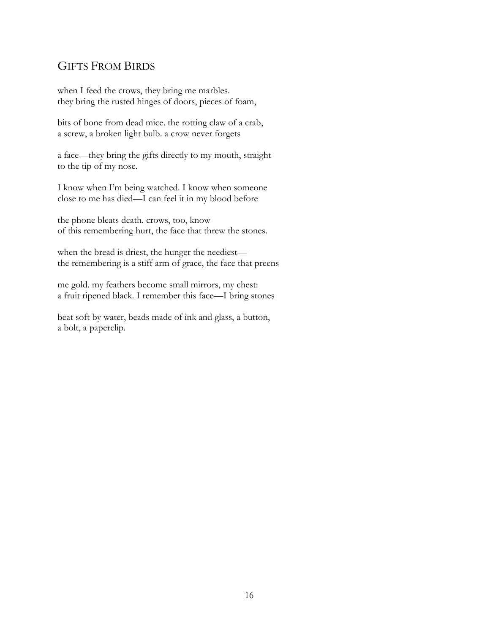### GIFTS FROM BIRDS

when I feed the crows, they bring me marbles. they bring the rusted hinges of doors, pieces of foam,

bits of bone from dead mice. the rotting claw of a crab, a screw, a broken light bulb. a crow never forgets

a face—they bring the gifts directly to my mouth, straight to the tip of my nose.

I know when I'm being watched. I know when someone close to me has died—I can feel it in my blood before

the phone bleats death. crows, too, know of this remembering hurt, the face that threw the stones.

when the bread is driest, the hunger the neediest the remembering is a stiff arm of grace, the face that preens

me gold. my feathers become small mirrors, my chest: a fruit ripened black. I remember this face—I bring stones

beat soft by water, beads made of ink and glass, a button, a bolt, a paperclip.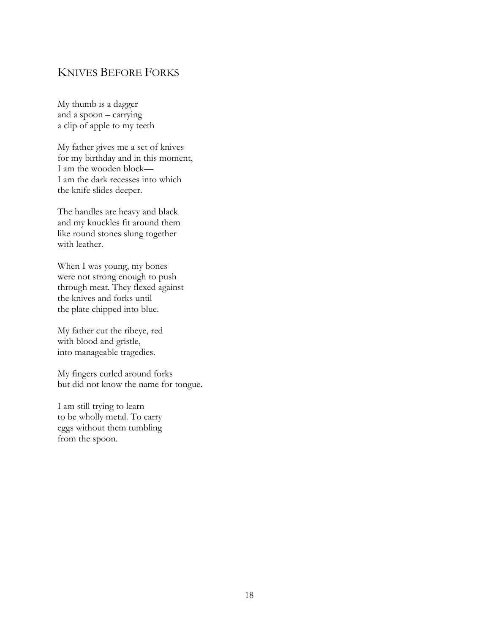### KNIVES BEFORE FORKS

My thumb is a dagger and a spoon – carrying a clip of apple to my teeth

My father gives me a set of knives for my birthday and in this moment, I am the wooden block— I am the dark recesses into which the knife slides deeper.

The handles are heavy and black and my knuckles fit around them like round stones slung together with leather.

When I was young, my bones were not strong enough to push through meat. They flexed against the knives and forks until the plate chipped into blue.

My father cut the ribeye, red with blood and gristle, into manageable tragedies.

My fingers curled around forks but did not know the name for tongue.

I am still trying to learn to be wholly metal. To carry eggs without them tumbling from the spoon.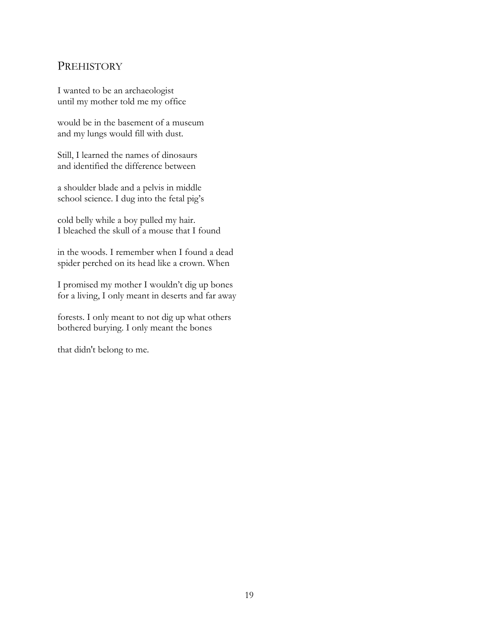### **PREHISTORY**

I wanted to be an archaeologist until my mother told me my office

would be in the basement of a museum and my lungs would fill with dust.

Still, I learned the names of dinosaurs and identified the difference between

a shoulder blade and a pelvis in middle school science. I dug into the fetal pig's

cold belly while a boy pulled my hair. I bleached the skull of a mouse that I found

in the woods. I remember when I found a dead spider perched on its head like a crown. When

I promised my mother I wouldn't dig up bones for a living, I only meant in deserts and far away

forests. I only meant to not dig up what others bothered burying. I only meant the bones

that didn't belong to me.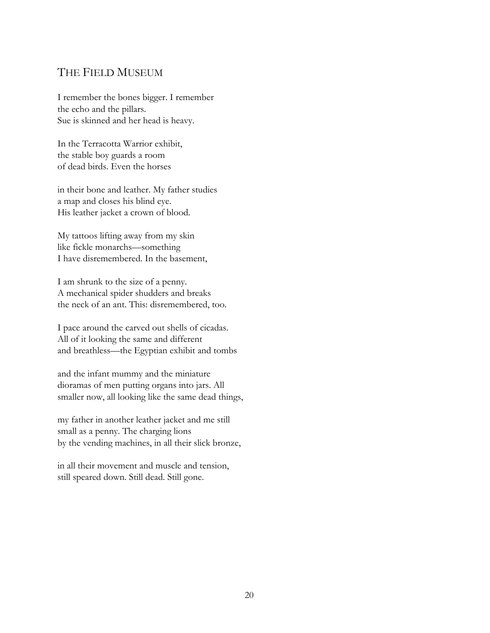### THE FIELD MUSEUM

I remember the bones bigger. I remember the echo and the pillars. Sue is skinned and her head is heavy.

In the Terracotta Warrior exhibit, the stable boy guards a room of dead birds. Even the horses

in their bone and leather. My father studies a map and closes his blind eye. His leather jacket a crown of blood.

My tattoos lifting away from my skin like fickle monarchs—something I have disremembered. In the basement,

I am shrunk to the size of a penny. A mechanical spider shudders and breaks the neck of an ant. This: disremembered, too.

I pace around the carved out shells of cicadas. All of it looking the same and different and breathless—the Egyptian exhibit and tombs

and the infant mummy and the miniature dioramas of men putting organs into jars. All smaller now, all looking like the same dead things,

my father in another leather jacket and me still small as a penny. The charging lions by the vending machines, in all their slick bronze,

in all their movement and muscle and tension, still speared down. Still dead. Still gone.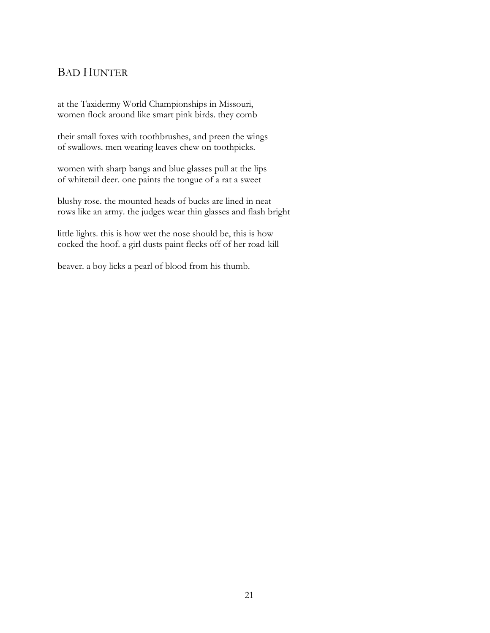### BAD HUNTER

at the Taxidermy World Championships in Missouri, women flock around like smart pink birds. they comb

their small foxes with toothbrushes, and preen the wings of swallows. men wearing leaves chew on toothpicks.

women with sharp bangs and blue glasses pull at the lips of whitetail deer. one paints the tongue of a rat a sweet

blushy rose. the mounted heads of bucks are lined in neat rows like an army. the judges wear thin glasses and flash bright

little lights. this is how wet the nose should be, this is how cocked the hoof. a girl dusts paint flecks off of her road-kill

beaver. a boy licks a pearl of blood from his thumb.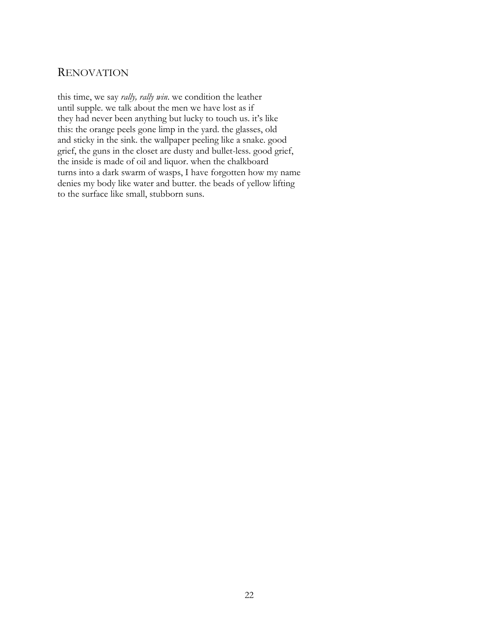#### **RENOVATION**

this time, we say *rally, rally win*. we condition the leather until supple. we talk about the men we have lost as if they had never been anything but lucky to touch us. it's like this: the orange peels gone limp in the yard. the glasses, old and sticky in the sink. the wallpaper peeling like a snake. good grief, the guns in the closet are dusty and bullet-less. good grief, the inside is made of oil and liquor. when the chalkboard turns into a dark swarm of wasps, I have forgotten how my name denies my body like water and butter. the beads of yellow lifting to the surface like small, stubborn suns.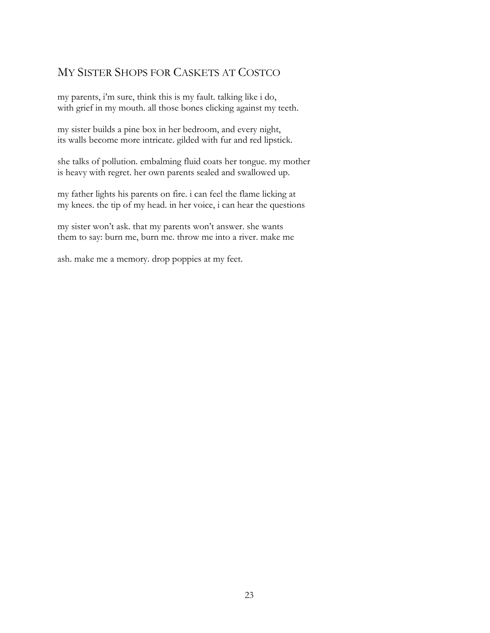### MY SISTER SHOPS FOR CASKETS AT COSTCO

my parents, i'm sure, think this is my fault. talking like i do, with grief in my mouth. all those bones clicking against my teeth.

my sister builds a pine box in her bedroom, and every night, its walls become more intricate. gilded with fur and red lipstick.

she talks of pollution. embalming fluid coats her tongue. my mother is heavy with regret. her own parents sealed and swallowed up.

my father lights his parents on fire. i can feel the flame licking at my knees. the tip of my head. in her voice, i can hear the questions

my sister won't ask. that my parents won't answer. she wants them to say: burn me, burn me. throw me into a river. make me

ash. make me a memory. drop poppies at my feet.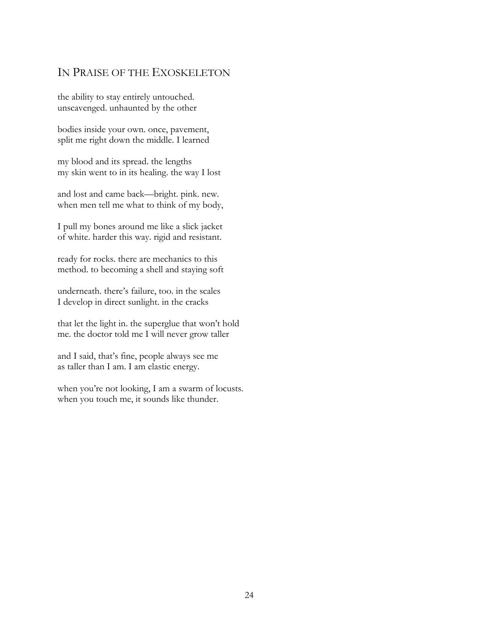### IN PRAISE OF THE EXOSKELETON

the ability to stay entirely untouched. unscavenged. unhaunted by the other

bodies inside your own. once, pavement, split me right down the middle. I learned

my blood and its spread. the lengths my skin went to in its healing. the way I lost

and lost and came back—bright. pink. new. when men tell me what to think of my body,

I pull my bones around me like a slick jacket of white. harder this way. rigid and resistant.

ready for rocks. there are mechanics to this method. to becoming a shell and staying soft

underneath. there's failure, too. in the scales I develop in direct sunlight. in the cracks

that let the light in. the superglue that won't hold me. the doctor told me I will never grow taller

and I said, that's fine, people always see me as taller than I am. I am elastic energy.

when you're not looking, I am a swarm of locusts. when you touch me, it sounds like thunder.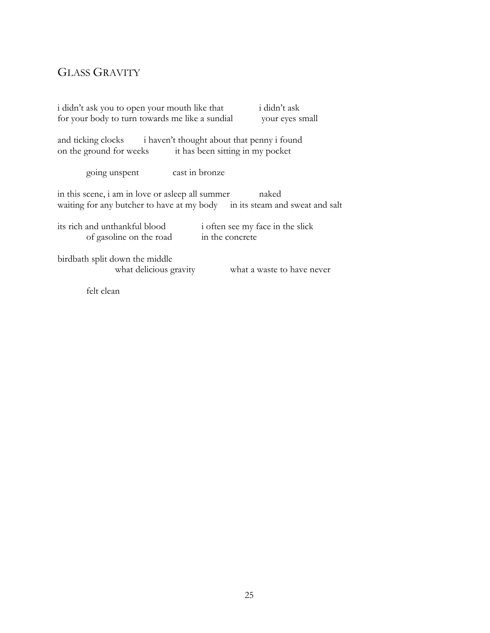### GLASS GRAVITY

| i didn't ask you to open your mouth like that<br>for your body to turn towards me like a sundial                                        | i didn't ask<br>your eyes small                     |  |
|-----------------------------------------------------------------------------------------------------------------------------------------|-----------------------------------------------------|--|
| and ticking clocks i haven't thought about that penny i found<br>it has been sitting in my pocket<br>on the ground for weeks            |                                                     |  |
| cast in bronze<br>going unspent                                                                                                         |                                                     |  |
| in this scene, i am in love or asleep all summer<br>naked<br>waiting for any butcher to have at my body in its steam and sweat and salt |                                                     |  |
| its rich and unthankful blood<br>of gasoline on the road                                                                                | i often see my face in the slick<br>in the concrete |  |
| birdbath split down the middle<br>what delicious gravity                                                                                | what a waste to have never                          |  |

felt clean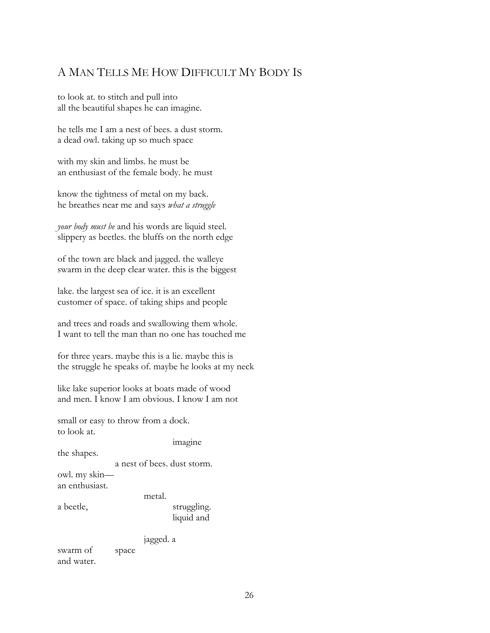### A MAN TELLS ME HOW DIFFICULT MY BODY IS

to look at. to stitch and pull into all the beautiful shapes he can imagine.

he tells me I am a nest of bees. a dust storm. a dead owl. taking up so much space

with my skin and limbs. he must be an enthusiast of the female body. he must

know the tightness of metal on my back. he breathes near me and says *what a struggle*

*your body must be* and his words are liquid steel. slippery as beetles. the bluffs on the north edge

of the town are black and jagged. the walleye swarm in the deep clear water. this is the biggest

lake. the largest sea of ice. it is an excellent customer of space. of taking ships and people

and trees and roads and swallowing them whole. I want to tell the man than no one has touched me

for three years. maybe this is a lie. maybe this is the struggle he speaks of. maybe he looks at my neck

like lake superior looks at boats made of wood and men. I know I am obvious. I know I am not

small or easy to throw from a dock. to look at.

imagine

the shapes.

a nest of bees. dust storm.

owl. my skin an enthusiast.

metal.

a beetle, struggling. liquid and

jagged. a

swarm of space and water.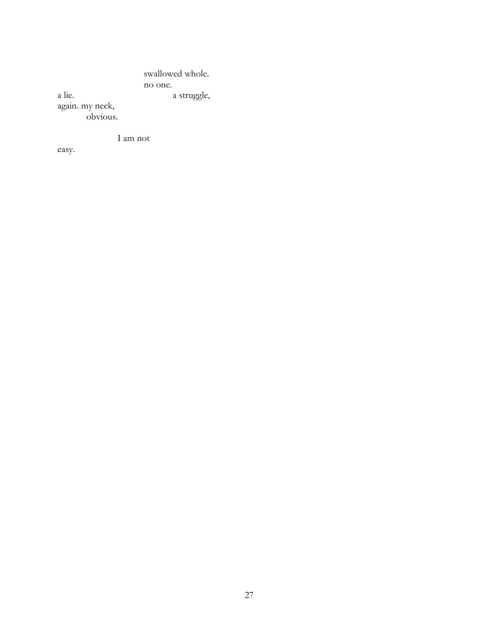swallowed whole. no one. a lie. a struggle, again. my neck, obvious.

I am not

easy.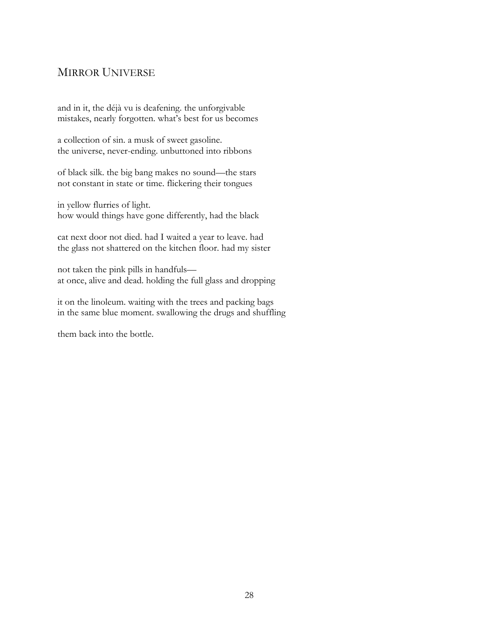## MIRROR UNIVERSE

and in it, the déjà vu is deafening. the unforgivable mistakes, nearly forgotten. what's best for us becomes

a collection of sin. a musk of sweet gasoline. the universe, never-ending. unbuttoned into ribbons

of black silk. the big bang makes no sound—the stars not constant in state or time. flickering their tongues

in yellow flurries of light. how would things have gone differently, had the black

cat next door not died. had I waited a year to leave. had the glass not shattered on the kitchen floor. had my sister

not taken the pink pills in handfuls at once, alive and dead. holding the full glass and dropping

it on the linoleum. waiting with the trees and packing bags in the same blue moment. swallowing the drugs and shuffling

them back into the bottle.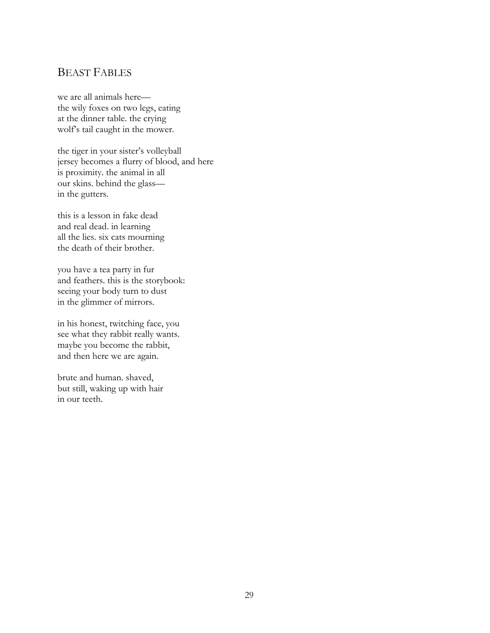## BEAST FABLES

we are all animals here the wily foxes on two legs, eating at the dinner table. the crying wolf's tail caught in the mower.

the tiger in your sister's volleyball jersey becomes a flurry of blood, and here is proximity. the animal in all our skins. behind the glass in the gutters.

this is a lesson in fake dead and real dead. in learning all the lies. six cats mourning the death of their brother.

you have a tea party in fur and feathers. this is the storybook: seeing your body turn to dust in the glimmer of mirrors.

in his honest, twitching face, you see what they rabbit really wants. maybe you become the rabbit, and then here we are again.

brute and human. shaved, but still, waking up with hair in our teeth.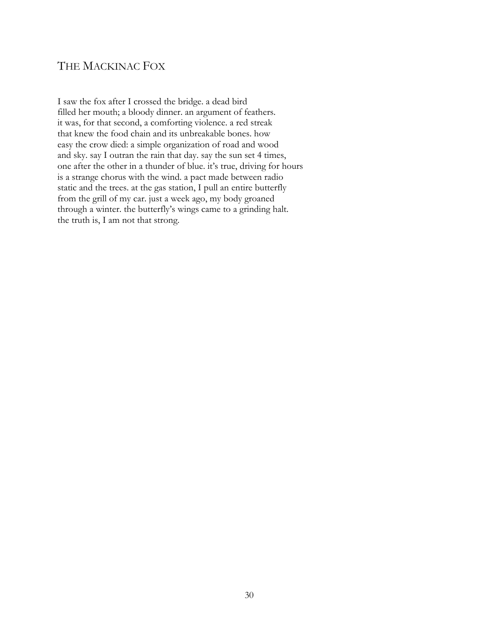## THE MACKINAC FOX

I saw the fox after I crossed the bridge. a dead bird filled her mouth; a bloody dinner. an argument of feathers. it was, for that second, a comforting violence. a red streak that knew the food chain and its unbreakable bones. how easy the crow died: a simple organization of road and wood and sky. say I outran the rain that day. say the sun set 4 times, one after the other in a thunder of blue. it's true, driving for hours is a strange chorus with the wind. a pact made between radio static and the trees. at the gas station, I pull an entire butterfly from the grill of my car. just a week ago, my body groaned through a winter. the butterfly's wings came to a grinding halt. the truth is, I am not that strong.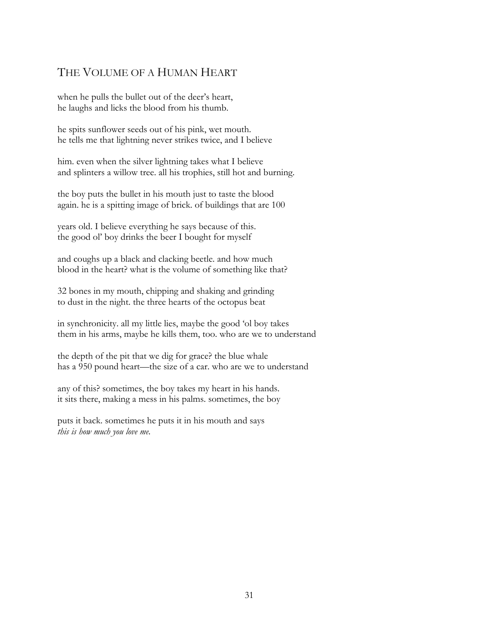## THE VOLUME OF A HUMAN HEART

when he pulls the bullet out of the deer's heart, he laughs and licks the blood from his thumb.

he spits sunflower seeds out of his pink, wet mouth. he tells me that lightning never strikes twice, and I believe

him. even when the silver lightning takes what I believe and splinters a willow tree. all his trophies, still hot and burning.

the boy puts the bullet in his mouth just to taste the blood again. he is a spitting image of brick. of buildings that are 100

years old. I believe everything he says because of this. the good ol' boy drinks the beer I bought for myself

and coughs up a black and clacking beetle. and how much blood in the heart? what is the volume of something like that?

32 bones in my mouth, chipping and shaking and grinding to dust in the night. the three hearts of the octopus beat

in synchronicity. all my little lies, maybe the good 'ol boy takes them in his arms, maybe he kills them, too. who are we to understand

the depth of the pit that we dig for grace? the blue whale has a 950 pound heart—the size of a car. who are we to understand

any of this? sometimes, the boy takes my heart in his hands. it sits there, making a mess in his palms. sometimes, the boy

puts it back. sometimes he puts it in his mouth and says *this is how much you love me.*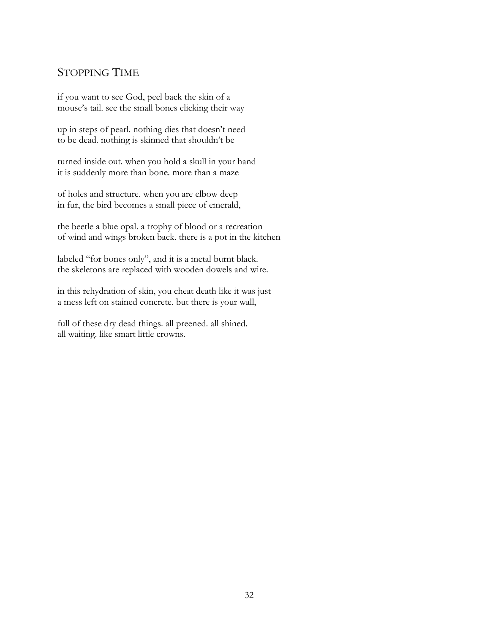## STOPPING TIME

if you want to see God, peel back the skin of a mouse's tail. see the small bones clicking their way

up in steps of pearl. nothing dies that doesn't need to be dead. nothing is skinned that shouldn't be

turned inside out. when you hold a skull in your hand it is suddenly more than bone. more than a maze

of holes and structure. when you are elbow deep in fur, the bird becomes a small piece of emerald,

the beetle a blue opal. a trophy of blood or a recreation of wind and wings broken back. there is a pot in the kitchen

labeled "for bones only", and it is a metal burnt black. the skeletons are replaced with wooden dowels and wire.

in this rehydration of skin, you cheat death like it was just a mess left on stained concrete. but there is your wall,

full of these dry dead things. all preened. all shined. all waiting. like smart little crowns.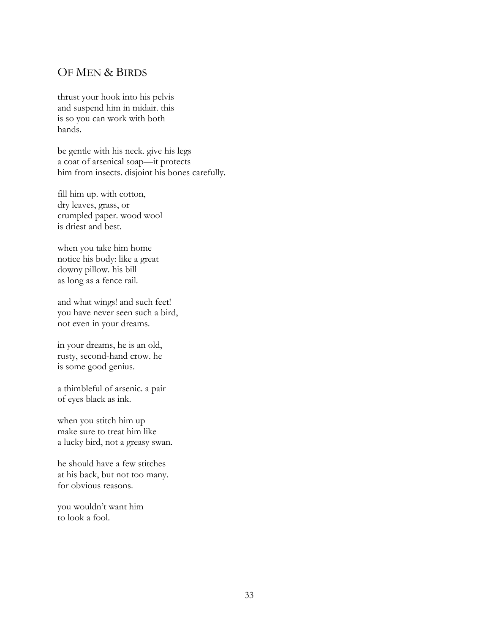### OF MEN & BIRDS

thrust your hook into his pelvis and suspend him in midair. this is so you can work with both hands.

be gentle with his neck. give his legs a coat of arsenical soap—it protects him from insects. disjoint his bones carefully.

fill him up. with cotton, dry leaves, grass, or crumpled paper. wood wool is driest and best.

when you take him home notice his body: like a great downy pillow. his bill as long as a fence rail.

and what wings! and such feet! you have never seen such a bird, not even in your dreams.

in your dreams, he is an old, rusty, second-hand crow. he is some good genius.

a thimbleful of arsenic. a pair of eyes black as ink.

when you stitch him up make sure to treat him like a lucky bird, not a greasy swan.

he should have a few stitches at his back, but not too many. for obvious reasons.

you wouldn't want him to look a fool.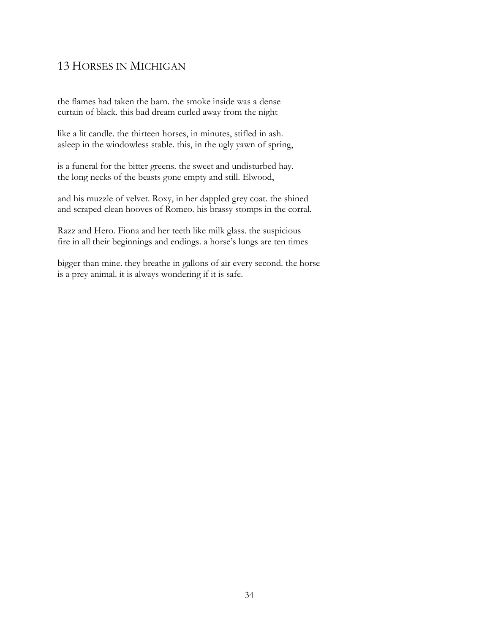## 13 HORSES IN MICHIGAN

the flames had taken the barn. the smoke inside was a dense curtain of black. this bad dream curled away from the night

like a lit candle. the thirteen horses, in minutes, stifled in ash. asleep in the windowless stable. this, in the ugly yawn of spring,

is a funeral for the bitter greens. the sweet and undisturbed hay. the long necks of the beasts gone empty and still. Elwood,

and his muzzle of velvet. Roxy, in her dappled grey coat. the shined and scraped clean hooves of Romeo. his brassy stomps in the corral.

Razz and Hero. Fiona and her teeth like milk glass. the suspicious fire in all their beginnings and endings. a horse's lungs are ten times

bigger than mine. they breathe in gallons of air every second. the horse is a prey animal. it is always wondering if it is safe.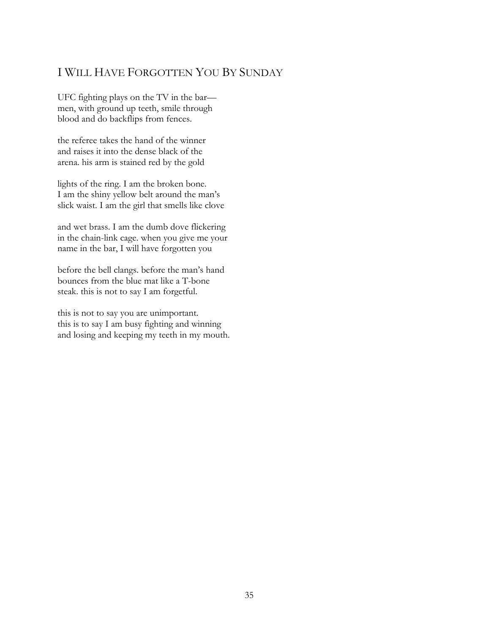## I WILL HAVE FORGOTTEN YOU BY SUNDAY

UFC fighting plays on the TV in the bar men, with ground up teeth, smile through blood and do backflips from fences.

the referee takes the hand of the winner and raises it into the dense black of the arena. his arm is stained red by the gold

lights of the ring. I am the broken bone. I am the shiny yellow belt around the man's slick waist. I am the girl that smells like clove

and wet brass. I am the dumb dove flickering in the chain-link cage. when you give me your name in the bar, I will have forgotten you

before the bell clangs. before the man's hand bounces from the blue mat like a T-bone steak. this is not to say I am forgetful.

this is not to say you are unimportant. this is to say I am busy fighting and winning and losing and keeping my teeth in my mouth.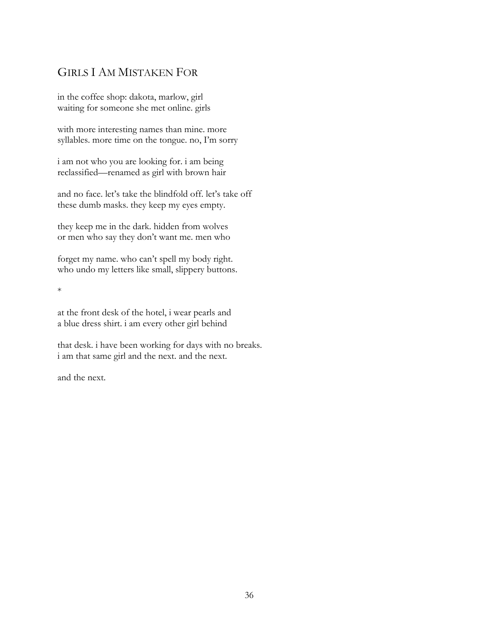## GIRLS I AM MISTAKEN FOR

in the coffee shop: dakota, marlow, girl waiting for someone she met online. girls

with more interesting names than mine. more syllables. more time on the tongue. no, I'm sorry

i am not who you are looking for. i am being reclassified—renamed as girl with brown hair

and no face. let's take the blindfold off. let's take off these dumb masks. they keep my eyes empty.

they keep me in the dark. hidden from wolves or men who say they don't want me. men who

forget my name. who can't spell my body right. who undo my letters like small, slippery buttons.

\*

at the front desk of the hotel, i wear pearls and a blue dress shirt. i am every other girl behind

that desk. i have been working for days with no breaks. i am that same girl and the next. and the next.

and the next.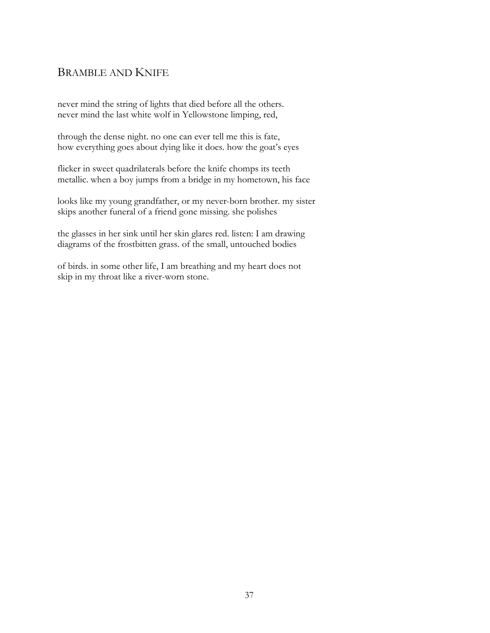## BRAMBLE AND KNIFE

never mind the string of lights that died before all the others. never mind the last white wolf in Yellowstone limping, red,

through the dense night. no one can ever tell me this is fate, how everything goes about dying like it does. how the goat's eyes

flicker in sweet quadrilaterals before the knife chomps its teeth metallic. when a boy jumps from a bridge in my hometown, his face

looks like my young grandfather, or my never-born brother. my sister skips another funeral of a friend gone missing. she polishes

the glasses in her sink until her skin glares red. listen: I am drawing diagrams of the frostbitten grass. of the small, untouched bodies

of birds. in some other life, I am breathing and my heart does not skip in my throat like a river-worn stone.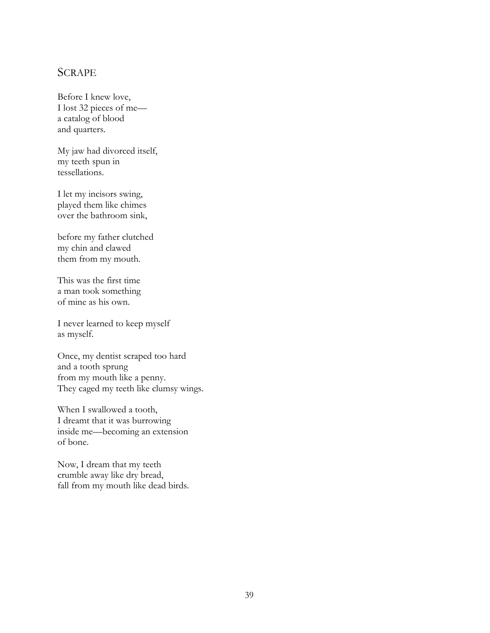### **SCRAPE**

Before I knew love, I lost 32 pieces of me a catalog of blood and quarters.

My jaw had divorced itself, my teeth spun in tessellations.

I let my incisors swing, played them like chimes over the bathroom sink,

before my father clutched my chin and clawed them from my mouth.

This was the first time a man took something of mine as his own.

I never learned to keep myself as myself.

Once, my dentist scraped too hard and a tooth sprung from my mouth like a penny. They caged my teeth like clumsy wings.

When I swallowed a tooth, I dreamt that it was burrowing inside me—becoming an extension of bone.

Now, I dream that my teeth crumble away like dry bread, fall from my mouth like dead birds.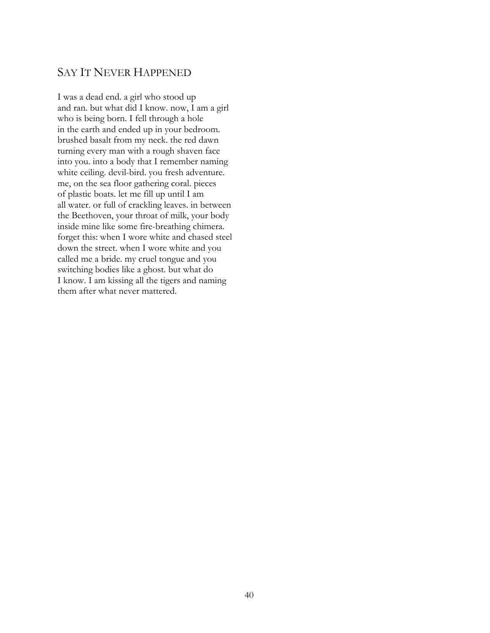## SAY IT NEVER HAPPENED

I was a dead end. a girl who stood up and ran. but what did I know. now, I am a girl who is being born. I fell through a hole in the earth and ended up in your bedroom. brushed basalt from my neck. the red dawn turning every man with a rough shaven face into you. into a body that I remember naming white ceiling. devil-bird. you fresh adventure. me, on the sea floor gathering coral. pieces of plastic boats. let me fill up until I am all water. or full of crackling leaves. in between the Beethoven, your throat of milk, your body inside mine like some fire-breathing chimera. forget this: when I wore white and chased steel down the street. when I wore white and you called me a bride. my cruel tongue and you switching bodies like a ghost. but what do I know. I am kissing all the tigers and naming them after what never mattered.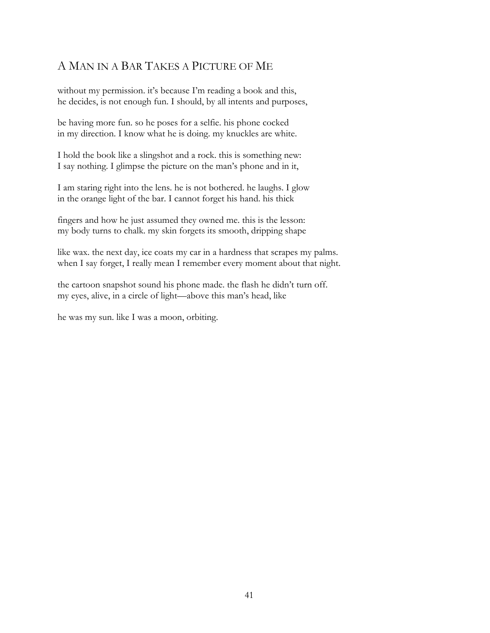## A MAN IN A BAR TAKES A PICTURE OF ME

without my permission. it's because I'm reading a book and this, he decides, is not enough fun. I should, by all intents and purposes,

be having more fun. so he poses for a selfie. his phone cocked in my direction. I know what he is doing. my knuckles are white.

I hold the book like a slingshot and a rock. this is something new: I say nothing. I glimpse the picture on the man's phone and in it,

I am staring right into the lens. he is not bothered. he laughs. I glow in the orange light of the bar. I cannot forget his hand. his thick

fingers and how he just assumed they owned me. this is the lesson: my body turns to chalk. my skin forgets its smooth, dripping shape

like wax. the next day, ice coats my car in a hardness that scrapes my palms. when I say forget, I really mean I remember every moment about that night.

the cartoon snapshot sound his phone made. the flash he didn't turn off. my eyes, alive, in a circle of light—above this man's head, like

he was my sun. like I was a moon, orbiting.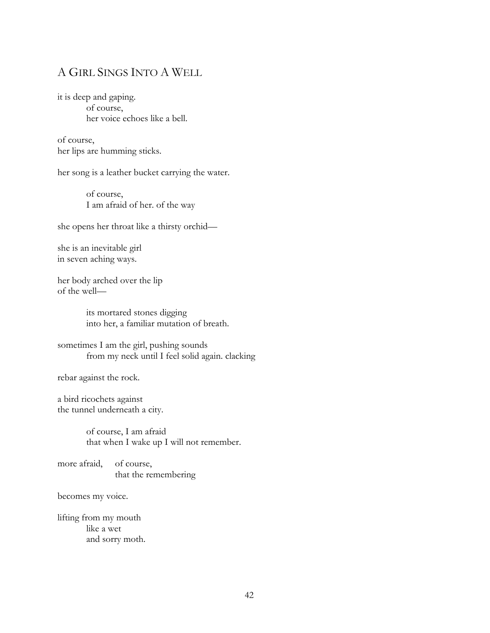## A GIRL SINGS INTO A WELL

it is deep and gaping. of course, her voice echoes like a bell.

of course, her lips are humming sticks.

her song is a leather bucket carrying the water.

of course, I am afraid of her. of the way

she opens her throat like a thirsty orchid—

she is an inevitable girl in seven aching ways.

her body arched over the lip of the well—

> its mortared stones digging into her, a familiar mutation of breath.

sometimes I am the girl, pushing sounds from my neck until I feel solid again. clacking

rebar against the rock.

a bird ricochets against the tunnel underneath a city.

> of course, I am afraid that when I wake up I will not remember.

more afraid, of course, that the remembering

becomes my voice.

lifting from my mouth like a wet and sorry moth.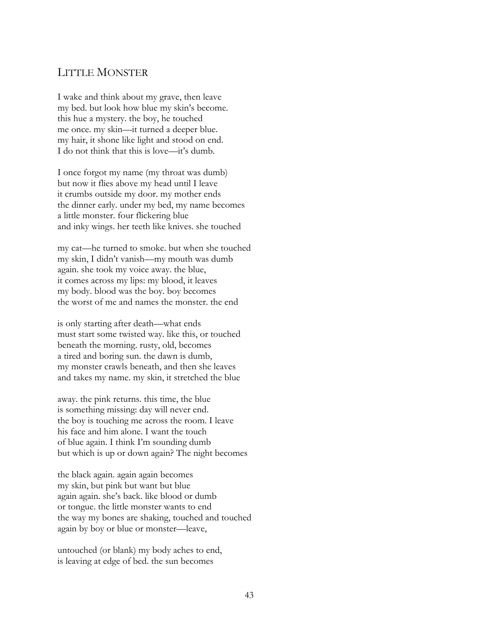### LITTLE MONSTER

I wake and think about my grave, then leave my bed. but look how blue my skin's become. this hue a mystery. the boy, he touched me once. my skin—it turned a deeper blue. my hair, it shone like light and stood on end. I do not think that this is love—it's dumb.

I once forgot my name (my throat was dumb) but now it flies above my head until I leave it crumbs outside my door. my mother ends the dinner early. under my bed, my name becomes a little monster. four flickering blue and inky wings. her teeth like knives. she touched

my cat—he turned to smoke. but when she touched my skin, I didn't vanish—my mouth was dumb again. she took my voice away. the blue, it comes across my lips: my blood, it leaves my body. blood was the boy. boy becomes the worst of me and names the monster. the end

is only starting after death—what ends must start some twisted way. like this, or touched beneath the morning. rusty, old, becomes a tired and boring sun. the dawn is dumb, my monster crawls beneath, and then she leaves and takes my name. my skin, it stretched the blue

away. the pink returns. this time, the blue is something missing: day will never end. the boy is touching me across the room. I leave his face and him alone. I want the touch of blue again. I think I'm sounding dumb but which is up or down again? The night becomes

the black again. again again becomes my skin, but pink but want but blue again again. she's back. like blood or dumb or tongue. the little monster wants to end the way my bones are shaking, touched and touched again by boy or blue or monster—leave,

untouched (or blank) my body aches to end, is leaving at edge of bed. the sun becomes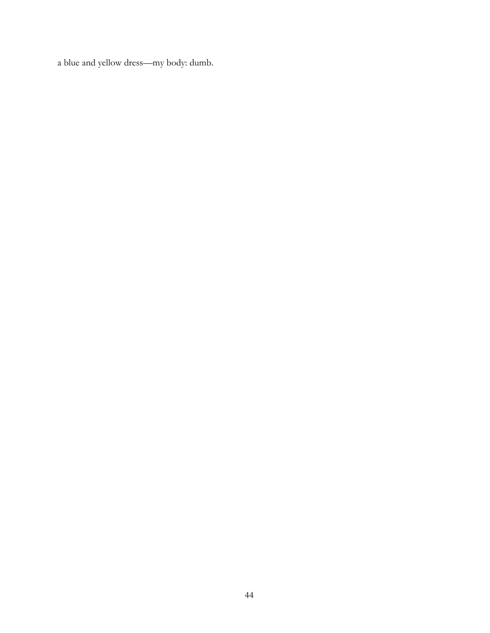a blue and yellow dress—my body: dumb.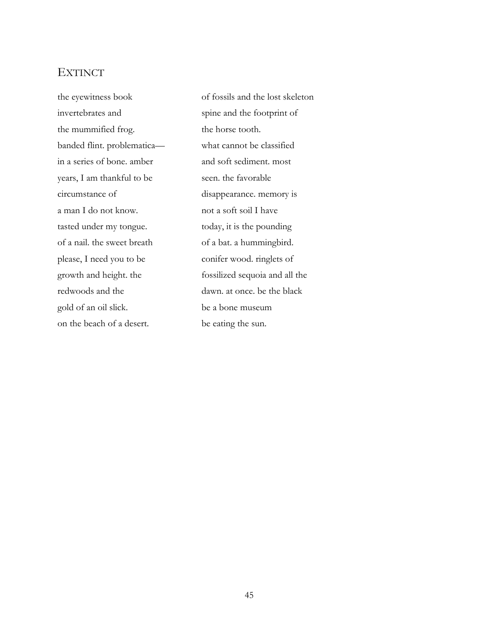### **EXTINCT**

invertebrates and spine and the footprint of the mummified frog. the horse tooth. banded flint. problematica— what cannot be classified in a series of bone. amber and soft sediment. most years, I am thankful to be seen. the favorable circumstance of disappearance. memory is a man I do not know. not a soft soil I have tasted under my tongue. today, it is the pounding of a nail. the sweet breath of a bat. a hummingbird. please, I need you to be conifer wood. ringlets of redwoods and the dawn. at once. be the black gold of an oil slick. be a bone museum on the beach of a desert. be eating the sun.

the eyewitness book of fossils and the lost skeleton growth and height. the fossilized sequoia and all the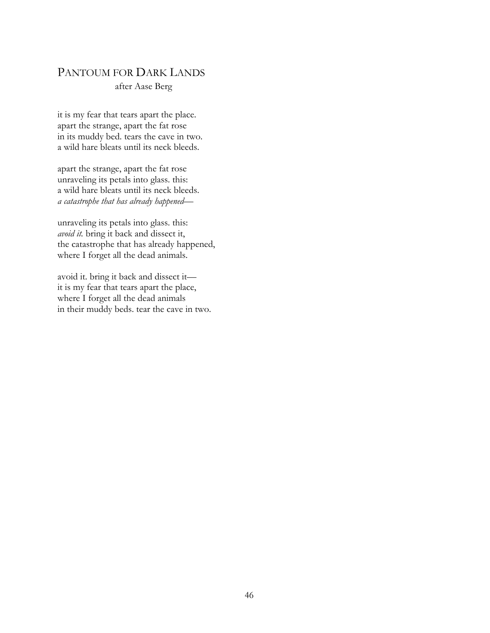### PANTOUM FOR DARK LANDS

#### after Aase Berg

it is my fear that tears apart the place. apart the strange, apart the fat rose in its muddy bed. tears the cave in two. a wild hare bleats until its neck bleeds.

apart the strange, apart the fat rose unraveling its petals into glass. this: a wild hare bleats until its neck bleeds. *a catastrophe that has already happened—*

unraveling its petals into glass. this: *avoid it.* bring it back and dissect it, the catastrophe that has already happened, where I forget all the dead animals.

avoid it. bring it back and dissect it it is my fear that tears apart the place, where I forget all the dead animals in their muddy beds. tear the cave in two.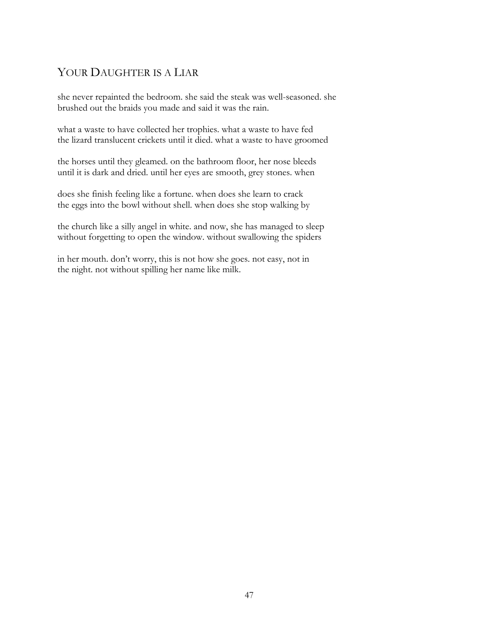## YOUR DAUGHTER IS A LIAR

she never repainted the bedroom. she said the steak was well-seasoned. she brushed out the braids you made and said it was the rain.

what a waste to have collected her trophies. what a waste to have fed the lizard translucent crickets until it died. what a waste to have groomed

the horses until they gleamed. on the bathroom floor, her nose bleeds until it is dark and dried. until her eyes are smooth, grey stones. when

does she finish feeling like a fortune. when does she learn to crack the eggs into the bowl without shell. when does she stop walking by

the church like a silly angel in white. and now, she has managed to sleep without forgetting to open the window. without swallowing the spiders

in her mouth. don't worry, this is not how she goes. not easy, not in the night. not without spilling her name like milk.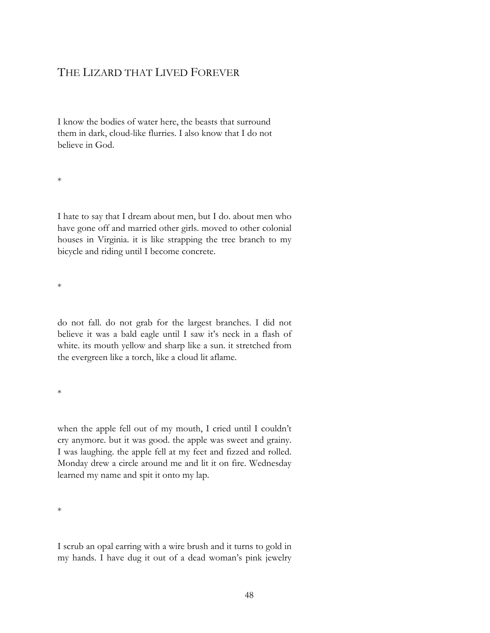### THE LIZARD THAT LIVED FOREVER

I know the bodies of water here, the beasts that surround them in dark, cloud-like flurries. I also know that I do not believe in God.

\*

I hate to say that I dream about men, but I do. about men who have gone off and married other girls. moved to other colonial houses in Virginia. it is like strapping the tree branch to my bicycle and riding until I become concrete.

\*

do not fall. do not grab for the largest branches. I did not believe it was a bald eagle until I saw it's neck in a flash of white. its mouth yellow and sharp like a sun. it stretched from the evergreen like a torch, like a cloud lit aflame.

\*

when the apple fell out of my mouth, I cried until I couldn't cry anymore. but it was good. the apple was sweet and grainy. I was laughing. the apple fell at my feet and fizzed and rolled. Monday drew a circle around me and lit it on fire. Wednesday learned my name and spit it onto my lap.

 $\ast$ 

I scrub an opal earring with a wire brush and it turns to gold in my hands. I have dug it out of a dead woman's pink jewelry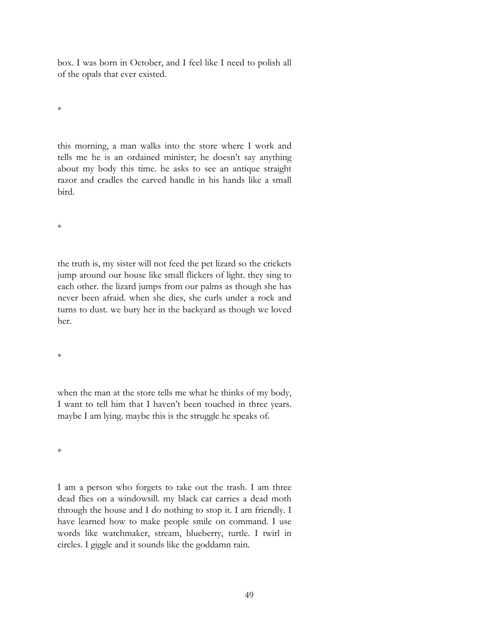box. I was born in October, and I feel like I need to polish all of the opals that ever existed.

\*

this morning, a man walks into the store where I work and tells me he is an ordained minister; he doesn't say anything about my body this time. he asks to see an antique straight razor and cradles the carved handle in his hands like a small bird.

\*

the truth is, my sister will not feed the pet lizard so the crickets jump around our house like small flickers of light. they sing to each other. the lizard jumps from our palms as though she has never been afraid. when she dies, she curls under a rock and turns to dust. we bury her in the backyard as though we loved her.

\*

when the man at the store tells me what he thinks of my body, I want to tell him that I haven't been touched in three years. maybe I am lying. maybe this is the struggle he speaks of.

\*

I am a person who forgets to take out the trash. I am three dead flies on a windowsill. my black cat carries a dead moth through the house and I do nothing to stop it. I am friendly. I have learned how to make people smile on command. I use words like watchmaker, stream, blueberry, turtle. I twirl in circles. I giggle and it sounds like the goddamn rain.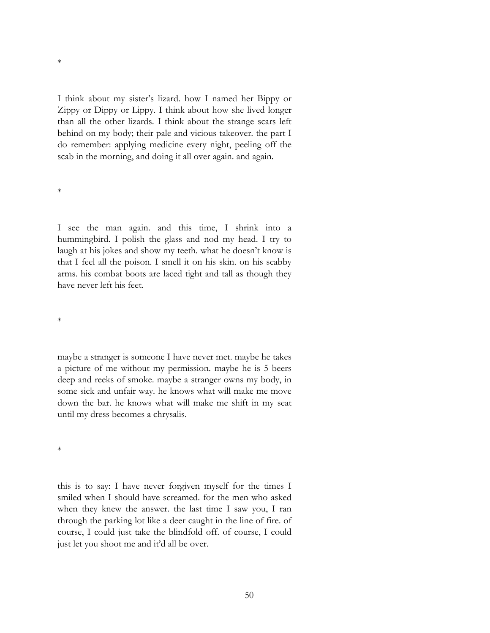I think about my sister's lizard. how I named her Bippy or Zippy or Dippy or Lippy. I think about how she lived longer than all the other lizards. I think about the strange scars left behind on my body; their pale and vicious takeover. the part I do remember: applying medicine every night, peeling off the scab in the morning, and doing it all over again. and again.

\*

\*

I see the man again. and this time, I shrink into a hummingbird. I polish the glass and nod my head. I try to laugh at his jokes and show my teeth. what he doesn't know is that I feel all the poison. I smell it on his skin. on his scabby arms. his combat boots are laced tight and tall as though they have never left his feet.

\*

maybe a stranger is someone I have never met. maybe he takes a picture of me without my permission. maybe he is 5 beers deep and reeks of smoke. maybe a stranger owns my body, in some sick and unfair way. he knows what will make me move down the bar. he knows what will make me shift in my seat until my dress becomes a chrysalis.

\*

this is to say: I have never forgiven myself for the times I smiled when I should have screamed. for the men who asked when they knew the answer. the last time I saw you, I ran through the parking lot like a deer caught in the line of fire. of course, I could just take the blindfold off. of course, I could just let you shoot me and it'd all be over.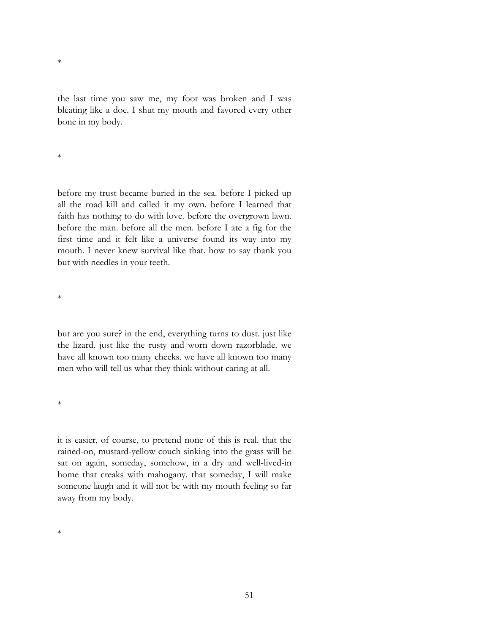the last time you saw me, my foot was broken and I was bleating like a doe. I shut my mouth and favored every other bone in my body.

\*

\*

before my trust became buried in the sea. before I picked up all the road kill and called it my own. before I learned that faith has nothing to do with love. before the overgrown lawn. before the man. before all the men. before I ate a fig for the first time and it felt like a universe found its way into my mouth. I never knew survival like that. how to say thank you but with needles in your teeth.

\*

but are you sure? in the end, everything turns to dust. just like the lizard. just like the rusty and worn down razorblade. we have all known too many cheeks. we have all known too many men who will tell us what they think without caring at all.

\*

it is easier, of course, to pretend none of this is real. that the rained-on, mustard-yellow couch sinking into the grass will be sat on again, someday, somehow, in a dry and well-lived-in home that creaks with mahogany. that someday, I will make someone laugh and it will not be with my mouth feeling so far away from my body.

\*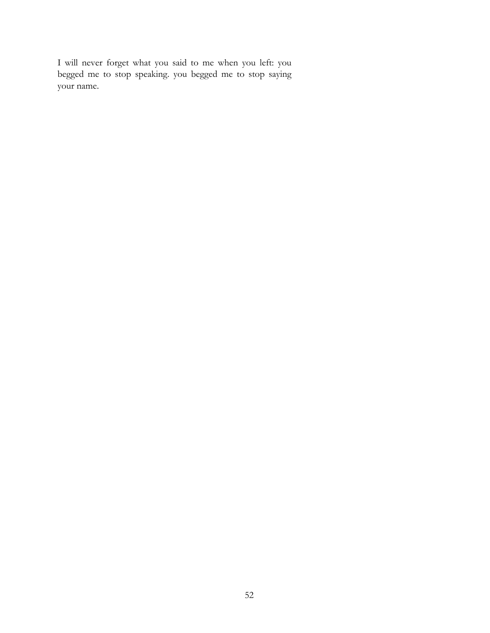I will never forget what you said to me when you left: you begged me to stop speaking. you begged me to stop saying your name.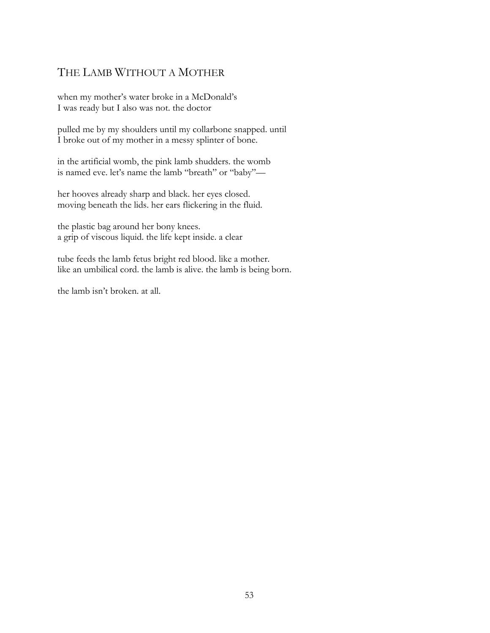## THE LAMB WITHOUT A MOTHER

when my mother's water broke in a McDonald's I was ready but I also was not. the doctor

pulled me by my shoulders until my collarbone snapped. until I broke out of my mother in a messy splinter of bone.

in the artificial womb, the pink lamb shudders. the womb is named eve. let's name the lamb "breath" or "baby"—

her hooves already sharp and black. her eyes closed. moving beneath the lids. her ears flickering in the fluid.

the plastic bag around her bony knees. a grip of viscous liquid. the life kept inside. a clear

tube feeds the lamb fetus bright red blood. like a mother. like an umbilical cord. the lamb is alive. the lamb is being born.

the lamb isn't broken. at all.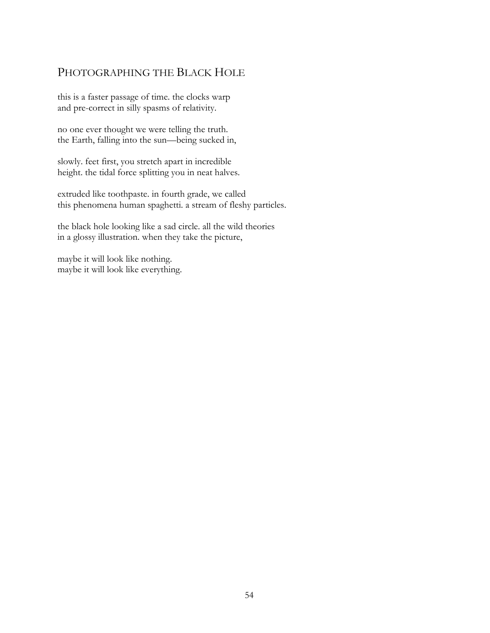## PHOTOGRAPHING THE BLACK HOLE

this is a faster passage of time. the clocks warp and pre-correct in silly spasms of relativity.

no one ever thought we were telling the truth. the Earth, falling into the sun—being sucked in,

slowly. feet first, you stretch apart in incredible height. the tidal force splitting you in neat halves.

extruded like toothpaste. in fourth grade, we called this phenomena human spaghetti. a stream of fleshy particles.

the black hole looking like a sad circle. all the wild theories in a glossy illustration. when they take the picture,

maybe it will look like nothing. maybe it will look like everything.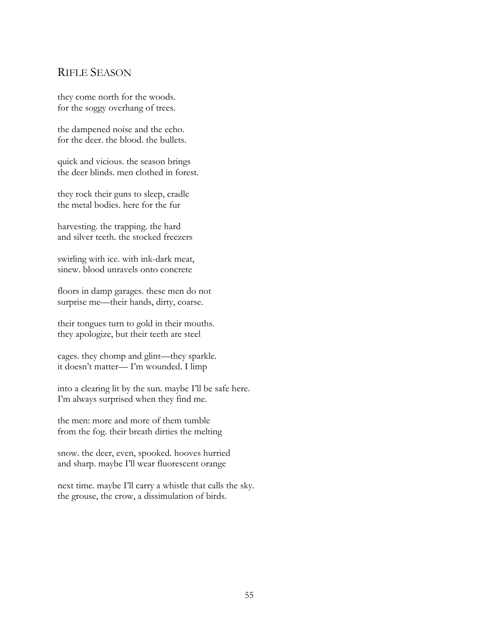### RIFLE SEASON

they come north for the woods. for the soggy overhang of trees.

the dampened noise and the echo. for the deer. the blood. the bullets.

quick and vicious. the season brings the deer blinds. men clothed in forest.

they rock their guns to sleep, cradle the metal bodies. here for the fur

harvesting. the trapping. the hard and silver teeth. the stocked freezers

swirling with ice. with ink-dark meat, sinew. blood unravels onto concrete

floors in damp garages. these men do not surprise me—their hands, dirty, coarse.

their tongues turn to gold in their mouths. they apologize, but their teeth are steel

cages. they chomp and glint—they sparkle. it doesn't matter— I'm wounded. I limp

into a clearing lit by the sun. maybe I'll be safe here. I'm always surprised when they find me.

the men: more and more of them tumble from the fog. their breath dirties the melting

snow. the deer, even, spooked. hooves hurried and sharp. maybe I'll wear fluorescent orange

next time. maybe I'll carry a whistle that calls the sky. the grouse, the crow, a dissimulation of birds.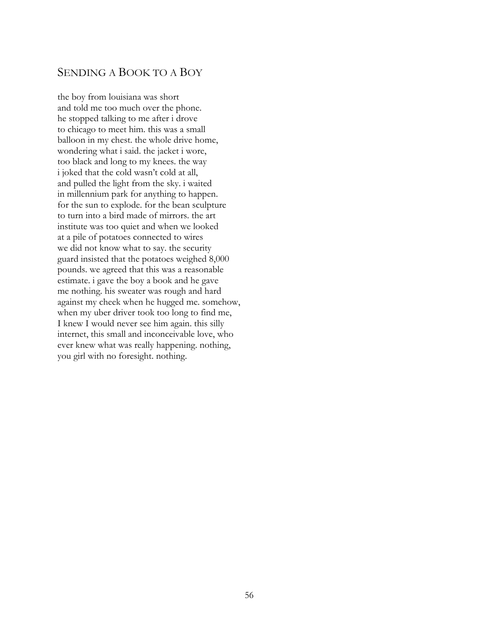### SENDING A BOOK TO A BOY

the boy from louisiana was short and told me too much over the phone. he stopped talking to me after i drove to chicago to meet him. this was a small balloon in my chest. the whole drive home, wondering what i said. the jacket i wore, too black and long to my knees. the way i joked that the cold wasn't cold at all, and pulled the light from the sky. i waited in millennium park for anything to happen. for the sun to explode. for the bean sculpture to turn into a bird made of mirrors. the art institute was too quiet and when we looked at a pile of potatoes connected to wires we did not know what to say. the security guard insisted that the potatoes weighed 8,000 pounds. we agreed that this was a reasonable estimate. i gave the boy a book and he gave me nothing. his sweater was rough and hard against my cheek when he hugged me. somehow, when my uber driver took too long to find me, I knew I would never see him again. this silly internet, this small and inconceivable love, who ever knew what was really happening. nothing, you girl with no foresight. nothing.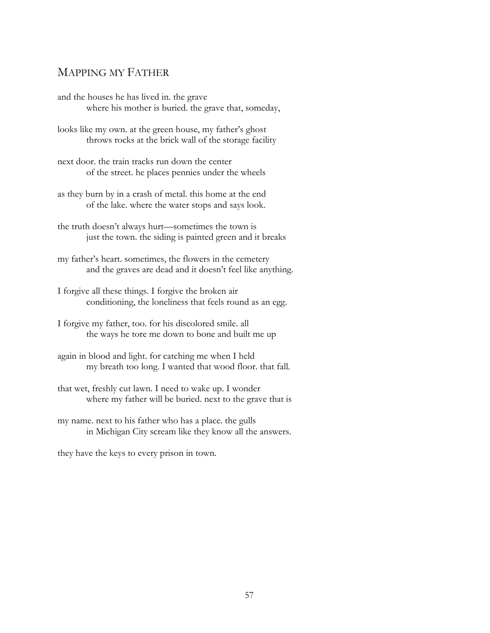### MAPPING MY FATHER

and the houses he has lived in. the grave where his mother is buried. the grave that, someday,

looks like my own. at the green house, my father's ghost throws rocks at the brick wall of the storage facility

next door. the train tracks run down the center of the street. he places pennies under the wheels

as they burn by in a crash of metal. this home at the end of the lake. where the water stops and says look.

the truth doesn't always hurt—sometimes the town is just the town. the siding is painted green and it breaks

my father's heart. sometimes, the flowers in the cemetery and the graves are dead and it doesn't feel like anything.

I forgive all these things. I forgive the broken air conditioning, the loneliness that feels round as an egg.

I forgive my father, too. for his discolored smile. all the ways he tore me down to bone and built me up

again in blood and light. for catching me when I held my breath too long. I wanted that wood floor. that fall.

that wet, freshly cut lawn. I need to wake up. I wonder where my father will be buried. next to the grave that is

my name. next to his father who has a place. the gulls in Michigan City scream like they know all the answers.

they have the keys to every prison in town.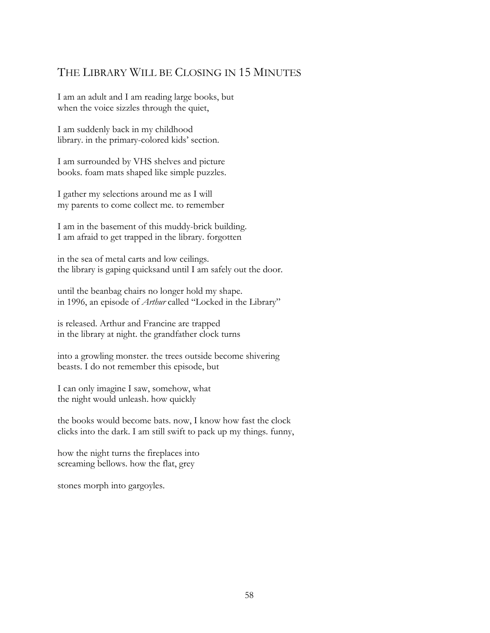## THE LIBRARY WILL BE CLOSING IN 15 MINUTES

I am an adult and I am reading large books, but when the voice sizzles through the quiet,

I am suddenly back in my childhood library. in the primary-colored kids' section.

I am surrounded by VHS shelves and picture books. foam mats shaped like simple puzzles.

I gather my selections around me as I will my parents to come collect me. to remember

I am in the basement of this muddy-brick building. I am afraid to get trapped in the library. forgotten

in the sea of metal carts and low ceilings. the library is gaping quicksand until I am safely out the door.

until the beanbag chairs no longer hold my shape. in 1996, an episode of *Arthur* called "Locked in the Library"

is released. Arthur and Francine are trapped in the library at night. the grandfather clock turns

into a growling monster. the trees outside become shivering beasts. I do not remember this episode, but

I can only imagine I saw, somehow, what the night would unleash. how quickly

the books would become bats. now, I know how fast the clock clicks into the dark. I am still swift to pack up my things. funny,

how the night turns the fireplaces into screaming bellows. how the flat, grey

stones morph into gargoyles.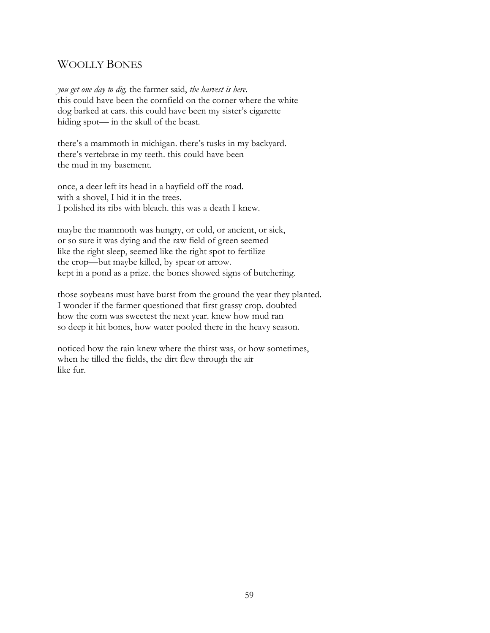## WOOLLY BONES

*you get one day to dig,* the farmer said, *the harvest is here*. this could have been the cornfield on the corner where the white dog barked at cars. this could have been my sister's cigarette hiding spot— in the skull of the beast.

there's a mammoth in michigan. there's tusks in my backyard. there's vertebrae in my teeth. this could have been the mud in my basement.

once, a deer left its head in a hayfield off the road. with a shovel, I hid it in the trees. I polished its ribs with bleach. this was a death I knew.

maybe the mammoth was hungry, or cold, or ancient, or sick, or so sure it was dying and the raw field of green seemed like the right sleep, seemed like the right spot to fertilize the crop—but maybe killed, by spear or arrow. kept in a pond as a prize. the bones showed signs of butchering.

those soybeans must have burst from the ground the year they planted. I wonder if the farmer questioned that first grassy crop. doubted how the corn was sweetest the next year. knew how mud ran so deep it hit bones, how water pooled there in the heavy season.

noticed how the rain knew where the thirst was, or how sometimes, when he tilled the fields, the dirt flew through the air like fur.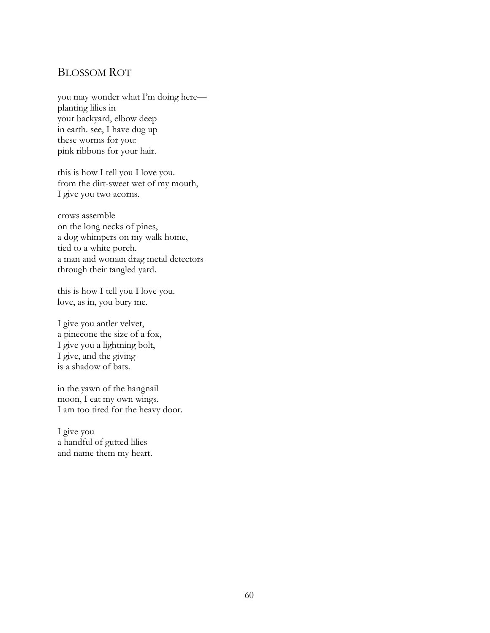### BLOSSOM ROT

you may wonder what I'm doing here planting lilies in your backyard, elbow deep in earth. see, I have dug up these worms for you: pink ribbons for your hair.

this is how I tell you I love you. from the dirt-sweet wet of my mouth, I give you two acorns.

crows assemble on the long necks of pines, a dog whimpers on my walk home, tied to a white porch. a man and woman drag metal detectors through their tangled yard.

this is how I tell you I love you. love, as in, you bury me.

I give you antler velvet, a pinecone the size of a fox, I give you a lightning bolt, I give, and the giving is a shadow of bats.

in the yawn of the hangnail moon, I eat my own wings. I am too tired for the heavy door.

I give you a handful of gutted lilies and name them my heart.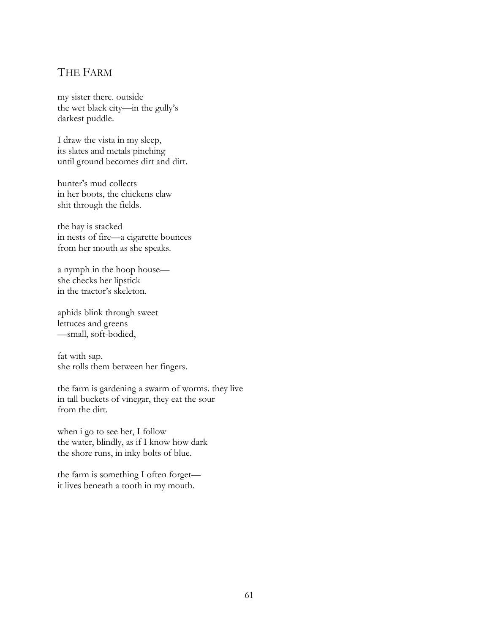## THE FARM

my sister there. outside the wet black city—in the gully's darkest puddle.

I draw the vista in my sleep, its slates and metals pinching until ground becomes dirt and dirt.

hunter's mud collects in her boots, the chickens claw shit through the fields.

the hay is stacked in nests of fire—a cigarette bounces from her mouth as she speaks.

a nymph in the hoop house she checks her lipstick in the tractor's skeleton.

aphids blink through sweet lettuces and greens —small, soft-bodied,

fat with sap. she rolls them between her fingers.

the farm is gardening a swarm of worms. they live in tall buckets of vinegar, they eat the sour from the dirt.

when i go to see her, I follow the water, blindly, as if I know how dark the shore runs, in inky bolts of blue.

the farm is something I often forget it lives beneath a tooth in my mouth.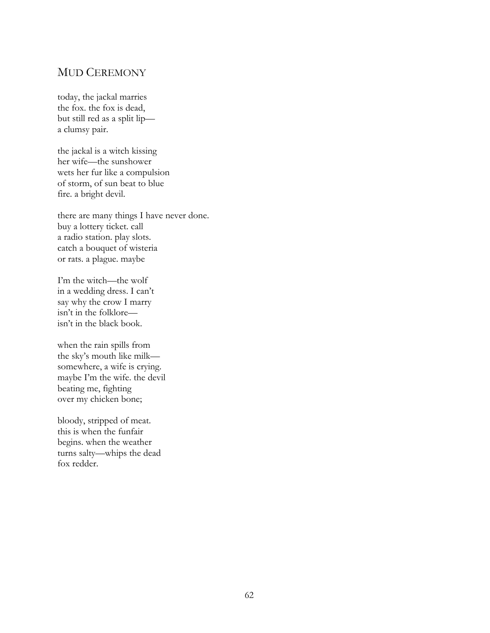### MUD CEREMONY

today, the jackal marries the fox. the fox is dead, but still red as a split lip a clumsy pair.

the jackal is a witch kissing her wife—the sunshower wets her fur like a compulsion of storm, of sun beat to blue fire. a bright devil.

there are many things I have never done. buy a lottery ticket. call a radio station. play slots. catch a bouquet of wisteria or rats. a plague. maybe

I'm the witch—the wolf in a wedding dress. I can't say why the crow I marry isn't in the folklore isn't in the black book.

when the rain spills from the sky's mouth like milk somewhere, a wife is crying. maybe I'm the wife. the devil beating me, fighting over my chicken bone;

bloody, stripped of meat. this is when the funfair begins. when the weather turns salty—whips the dead fox redder.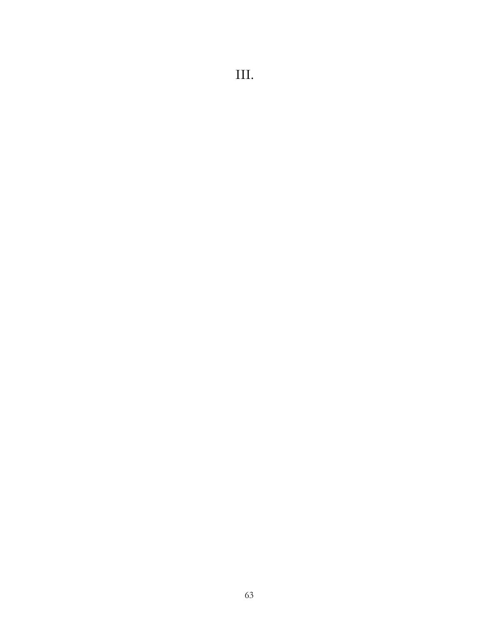# III.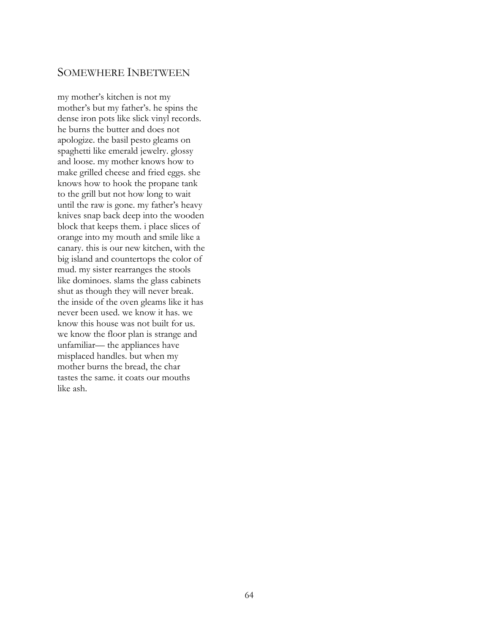#### SOMEWHERE INBETWEEN

my mother's kitchen is not my mother's but my father's. he spins the dense iron pots like slick vinyl records. he burns the butter and does not apologize. the basil pesto gleams on spaghetti like emerald jewelry. glossy and loose. my mother knows how to make grilled cheese and fried eggs. she knows how to hook the propane tank to the grill but not how long to wait until the raw is gone. my father's heavy knives snap back deep into the wooden block that keeps them. i place slices of orange into my mouth and smile like a canary. this is our new kitchen, with the big island and countertops the color of mud. my sister rearranges the stools like dominoes. slams the glass cabinets shut as though they will never break. the inside of the oven gleams like it has never been used. we know it has. we know this house was not built for us. we know the floor plan is strange and unfamiliar— the appliances have misplaced handles. but when my mother burns the bread, the char tastes the same. it coats our mouths like ash.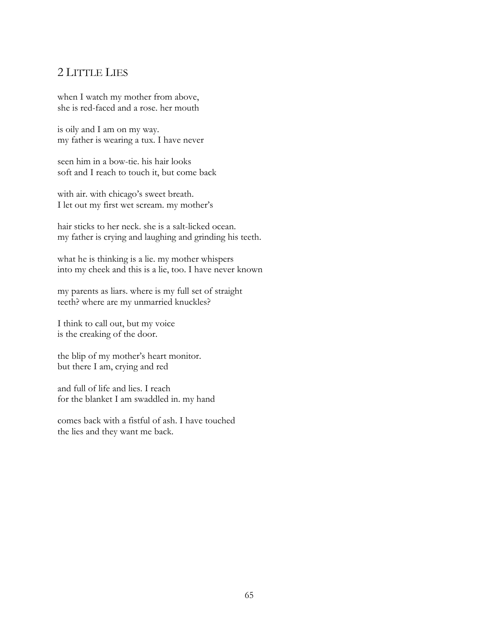#### 2 LITTLE LIES

when I watch my mother from above, she is red-faced and a rose. her mouth

is oily and I am on my way. my father is wearing a tux. I have never

seen him in a bow-tie. his hair looks soft and I reach to touch it, but come back

with air. with chicago's sweet breath. I let out my first wet scream. my mother's

hair sticks to her neck. she is a salt-licked ocean. my father is crying and laughing and grinding his teeth.

what he is thinking is a lie. my mother whispers into my cheek and this is a lie, too. I have never known

my parents as liars. where is my full set of straight teeth? where are my unmarried knuckles?

I think to call out, but my voice is the creaking of the door.

the blip of my mother's heart monitor. but there I am, crying and red

and full of life and lies. I reach for the blanket I am swaddled in. my hand

comes back with a fistful of ash. I have touched the lies and they want me back.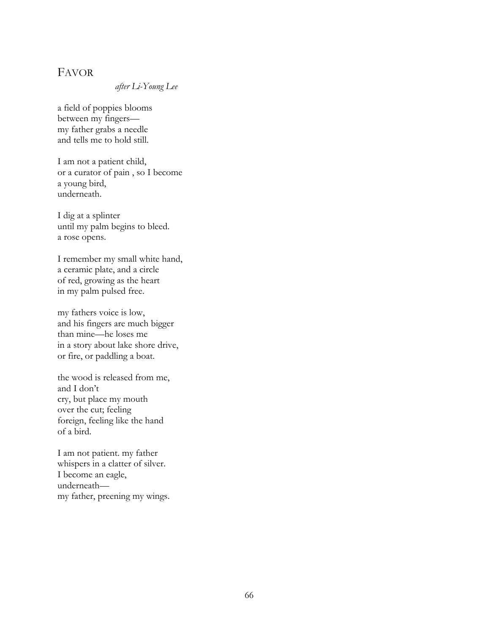#### FAVOR

#### *after Li-Young Lee*

a field of poppies blooms between my fingers my father grabs a needle and tells me to hold still.

I am not a patient child, or a curator of pain , so I become a young bird, underneath.

I dig at a splinter until my palm begins to bleed. a rose opens.

I remember my small white hand, a ceramic plate, and a circle of red, growing as the heart in my palm pulsed free.

my fathers voice is low, and his fingers are much bigger than mine—he loses me in a story about lake shore drive, or fire, or paddling a boat.

the wood is released from me, and I don't cry, but place my mouth over the cut; feeling foreign, feeling like the hand of a bird.

I am not patient. my father whispers in a clatter of silver. I become an eagle, underneath my father, preening my wings.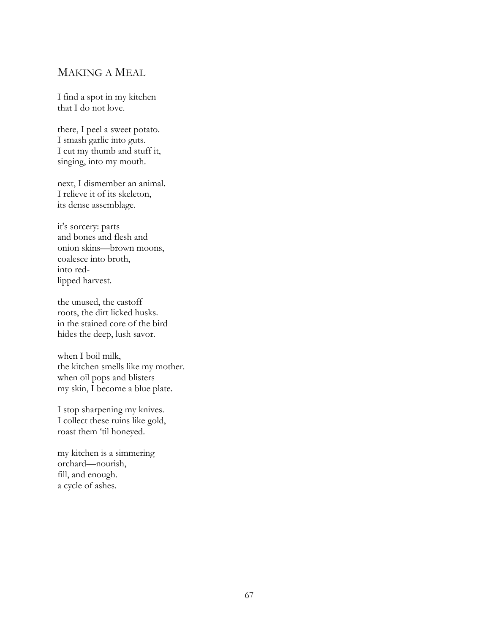#### MAKING A MEAL

I find a spot in my kitchen that I do not love.

there, I peel a sweet potato. I smash garlic into guts. I cut my thumb and stuff it, singing, into my mouth.

next, I dismember an animal. I relieve it of its skeleton, its dense assemblage.

it's sorcery: parts and bones and flesh and onion skins—brown moons, coalesce into broth, into redlipped harvest.

the unused, the castoff roots, the dirt licked husks. in the stained core of the bird hides the deep, lush savor.

when I boil milk, the kitchen smells like my mother. when oil pops and blisters my skin, I become a blue plate.

I stop sharpening my knives. I collect these ruins like gold, roast them 'til honeyed.

my kitchen is a simmering orchard—nourish, fill, and enough. a cycle of ashes.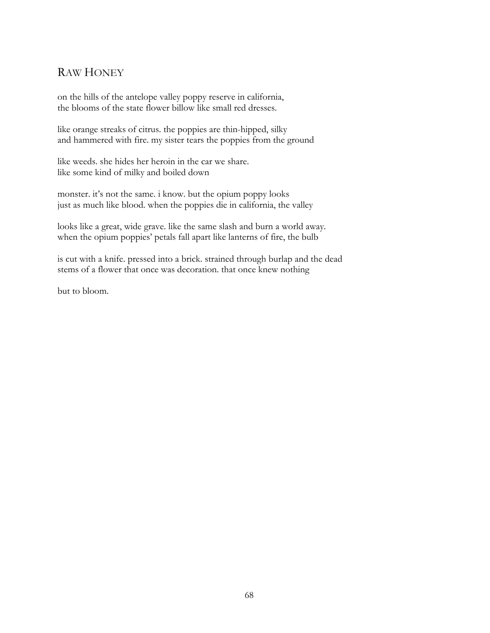# RAW HONEY

on the hills of the antelope valley poppy reserve in california, the blooms of the state flower billow like small red dresses.

like orange streaks of citrus. the poppies are thin-hipped, silky and hammered with fire. my sister tears the poppies from the ground

like weeds. she hides her heroin in the car we share. like some kind of milky and boiled down

monster. it's not the same. i know. but the opium poppy looks just as much like blood. when the poppies die in california, the valley

looks like a great, wide grave. like the same slash and burn a world away. when the opium poppies' petals fall apart like lanterns of fire, the bulb

is cut with a knife. pressed into a brick. strained through burlap and the dead stems of a flower that once was decoration. that once knew nothing

but to bloom.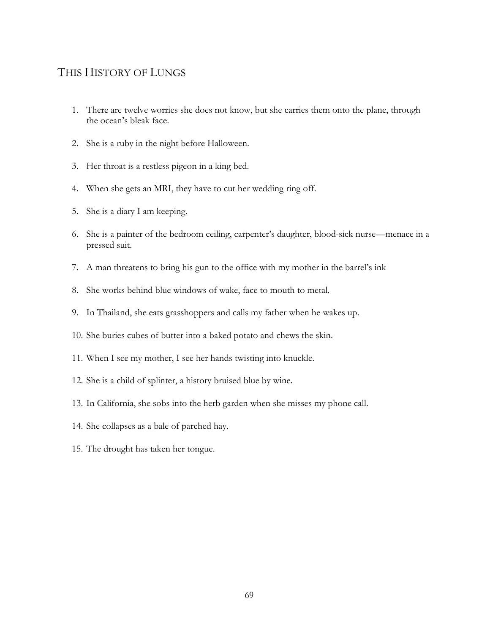### THIS HISTORY OF LUNGS

- 1. There are twelve worries she does not know, but she carries them onto the plane, through the ocean's bleak face.
- 2. She is a ruby in the night before Halloween.
- 3. Her throat is a restless pigeon in a king bed.
- 4. When she gets an MRI, they have to cut her wedding ring off.
- 5. She is a diary I am keeping.
- 6. She is a painter of the bedroom ceiling, carpenter's daughter, blood-sick nurse—menace in a pressed suit.
- 7. A man threatens to bring his gun to the office with my mother in the barrel's ink
- 8. She works behind blue windows of wake, face to mouth to metal.
- 9. In Thailand, she eats grasshoppers and calls my father when he wakes up.
- 10. She buries cubes of butter into a baked potato and chews the skin.
- 11. When I see my mother, I see her hands twisting into knuckle.
- 12. She is a child of splinter, a history bruised blue by wine.
- 13. In California, she sobs into the herb garden when she misses my phone call.
- 14. She collapses as a bale of parched hay.
- 15. The drought has taken her tongue.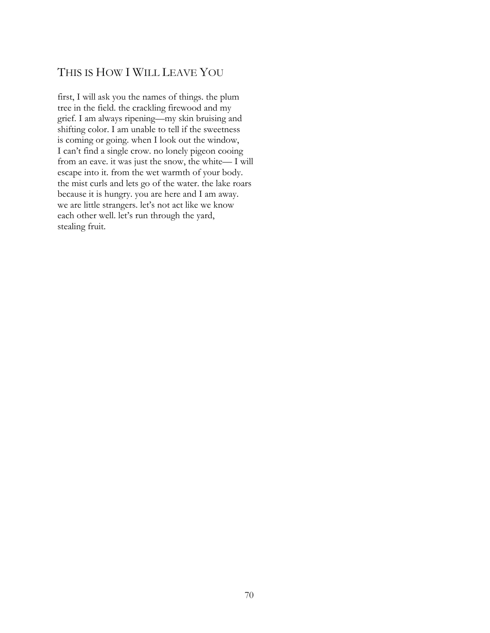# THIS IS HOW I WILL LEAVE YOU

first, I will ask you the names of things. the plum tree in the field. the crackling firewood and my grief. I am always ripening—my skin bruising and shifting color. I am unable to tell if the sweetness is coming or going. when I look out the window, I can't find a single crow. no lonely pigeon cooing from an eave. it was just the snow, the white— I will escape into it. from the wet warmth of your body. the mist curls and lets go of the water. the lake roars because it is hungry. you are here and I am away. we are little strangers. let's not act like we know each other well. let's run through the yard, stealing fruit.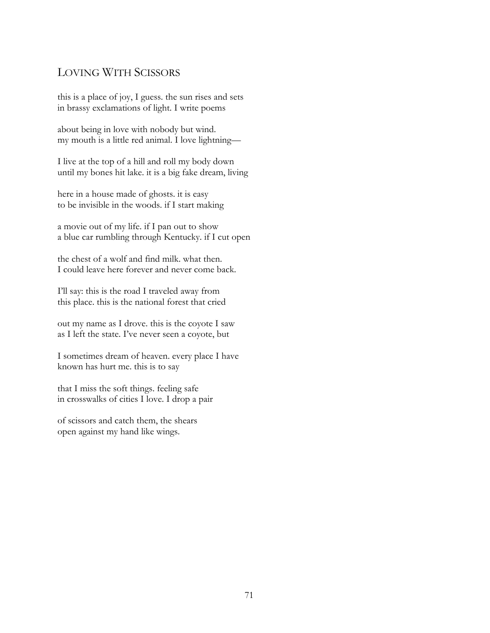#### LOVING WITH SCISSORS

this is a place of joy, I guess. the sun rises and sets in brassy exclamations of light. I write poems

about being in love with nobody but wind. my mouth is a little red animal. I love lightning—

I live at the top of a hill and roll my body down until my bones hit lake. it is a big fake dream, living

here in a house made of ghosts. it is easy to be invisible in the woods. if I start making

a movie out of my life. if I pan out to show a blue car rumbling through Kentucky. if I cut open

the chest of a wolf and find milk. what then. I could leave here forever and never come back.

I'll say: this is the road I traveled away from this place. this is the national forest that cried

out my name as I drove. this is the coyote I saw as I left the state. I've never seen a coyote, but

I sometimes dream of heaven. every place I have known has hurt me. this is to say

that I miss the soft things. feeling safe in crosswalks of cities I love. I drop a pair

of scissors and catch them, the shears open against my hand like wings.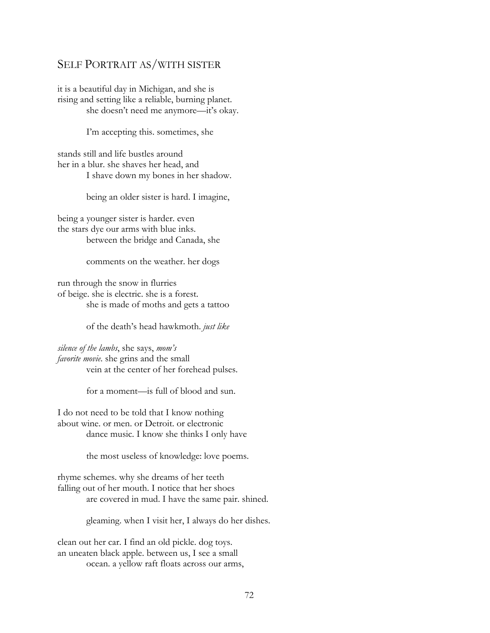## SELF PORTRAIT AS/WITH SISTER

it is a beautiful day in Michigan, and she is rising and setting like a reliable, burning planet. she doesn't need me anymore—it's okay.

I'm accepting this. sometimes, she

stands still and life bustles around her in a blur. she shaves her head, and I shave down my bones in her shadow.

being an older sister is hard. I imagine,

being a younger sister is harder. even the stars dye our arms with blue inks. between the bridge and Canada, she

comments on the weather. her dogs

run through the snow in flurries of beige. she is electric. she is a forest. she is made of moths and gets a tattoo

of the death's head hawkmoth. *just like*

*silence of the lambs*, she says, *mom's favorite movie*. she grins and the small vein at the center of her forehead pulses.

for a moment—is full of blood and sun.

I do not need to be told that I know nothing about wine. or men. or Detroit. or electronic dance music. I know she thinks I only have

the most useless of knowledge: love poems.

rhyme schemes. why she dreams of her teeth falling out of her mouth. I notice that her shoes are covered in mud. I have the same pair. shined.

gleaming. when I visit her, I always do her dishes.

clean out her car. I find an old pickle. dog toys. an uneaten black apple. between us, I see a small ocean. a yellow raft floats across our arms,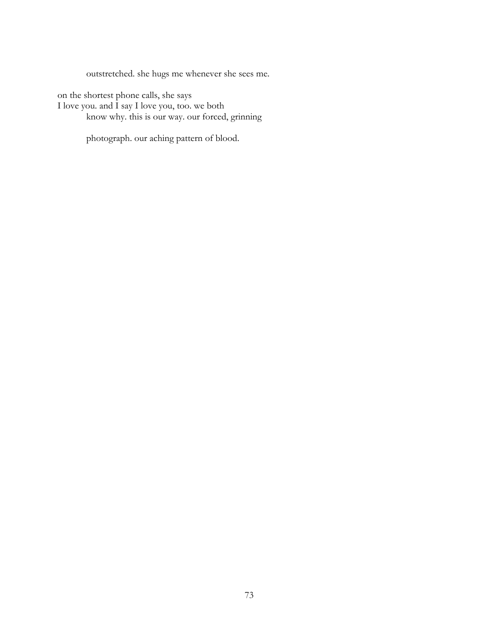outstretched. she hugs me whenever she sees me.

on the shortest phone calls, she says I love you. and I say I love you, too. we both know why. this is our way. our forced, grinning

photograph. our aching pattern of blood.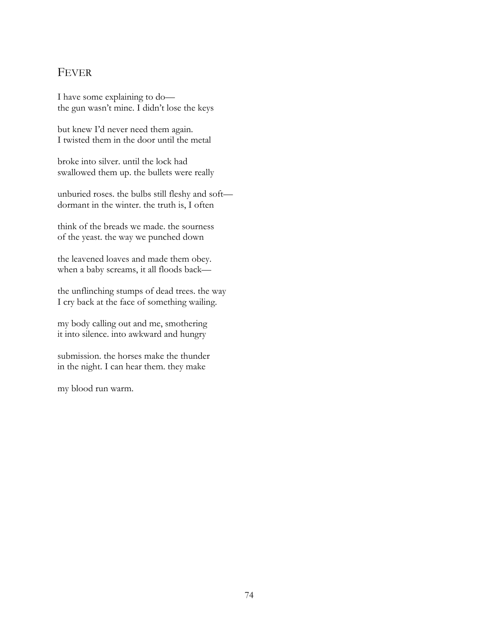#### FEVER

I have some explaining to do the gun wasn't mine. I didn't lose the keys

but knew I'd never need them again. I twisted them in the door until the metal

broke into silver. until the lock had swallowed them up. the bullets were really

unburied roses. the bulbs still fleshy and soft dormant in the winter. the truth is, I often

think of the breads we made. the sourness of the yeast. the way we punched down

the leavened loaves and made them obey. when a baby screams, it all floods back—

the unflinching stumps of dead trees. the way I cry back at the face of something wailing.

my body calling out and me, smothering it into silence. into awkward and hungry

submission. the horses make the thunder in the night. I can hear them. they make

my blood run warm.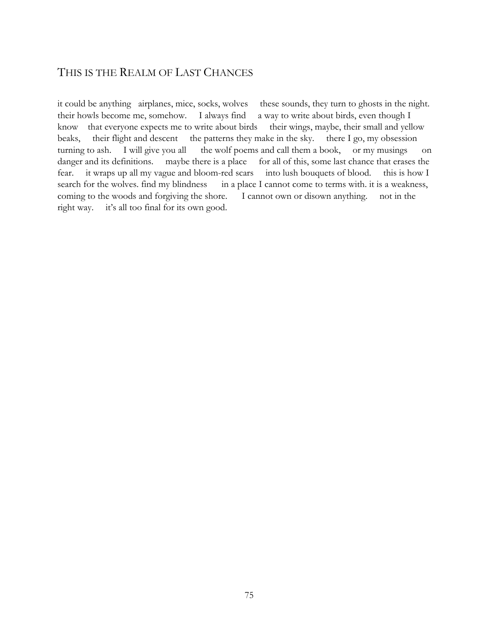## THIS IS THE REALM OF LAST CHANCES

it could be anything airplanes, mice, socks, wolves these sounds, they turn to ghosts in the night. their howls become me, somehow. I always find a way to write about birds, even though I know that everyone expects me to write about birds their wings, maybe, their small and yellow beaks, their flight and descent the patterns they make in the sky. there I go, my obsession turning to ash. I will give you all the wolf poems and call them a book, or my musings on danger and its definitions. maybe there is a place for all of this, some last chance that erases the fear. it wraps up all my vague and bloom-red scars into lush bouquets of blood. this is how I search for the wolves. find my blindness in a place I cannot come to terms with. it is a weakness, coming to the woods and forgiving the shore. I cannot own or disown anything. not in the right way. it's all too final for its own good.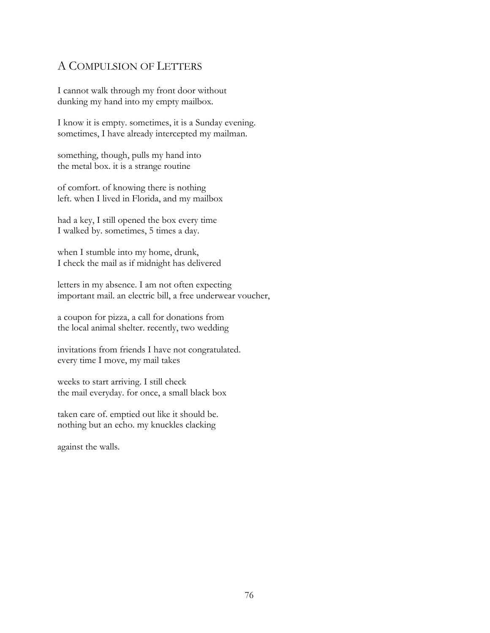## A COMPULSION OF LETTERS

I cannot walk through my front door without dunking my hand into my empty mailbox.

I know it is empty. sometimes, it is a Sunday evening. sometimes, I have already intercepted my mailman.

something, though, pulls my hand into the metal box. it is a strange routine

of comfort. of knowing there is nothing left. when I lived in Florida, and my mailbox

had a key, I still opened the box every time I walked by. sometimes, 5 times a day.

when I stumble into my home, drunk, I check the mail as if midnight has delivered

letters in my absence. I am not often expecting important mail. an electric bill, a free underwear voucher,

a coupon for pizza, a call for donations from the local animal shelter. recently, two wedding

invitations from friends I have not congratulated. every time I move, my mail takes

weeks to start arriving. I still check the mail everyday. for once, a small black box

taken care of. emptied out like it should be. nothing but an echo. my knuckles clacking

against the walls.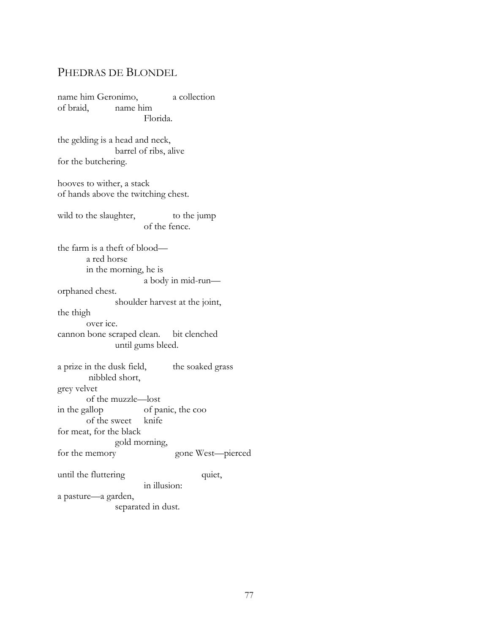## PHEDRAS DE BLONDEL

name him Geronimo, a collection of braid, name him Florida. the gelding is a head and neck, barrel of ribs, alive for the butchering. hooves to wither, a stack of hands above the twitching chest. wild to the slaughter, to the jump of the fence. the farm is a theft of blood a red horse in the morning, he is a body in mid-run orphaned chest. shoulder harvest at the joint, the thigh over ice. cannon bone scraped clean. bit clenched until gums bleed. a prize in the dusk field, the soaked grass nibbled short, grey velvet of the muzzle—lost in the gallop of panic, the coo of the sweet knife for meat, for the black gold morning, for the memory gone West—pierced until the fluttering quiet, in illusion: a pasture—a garden, separated in dust.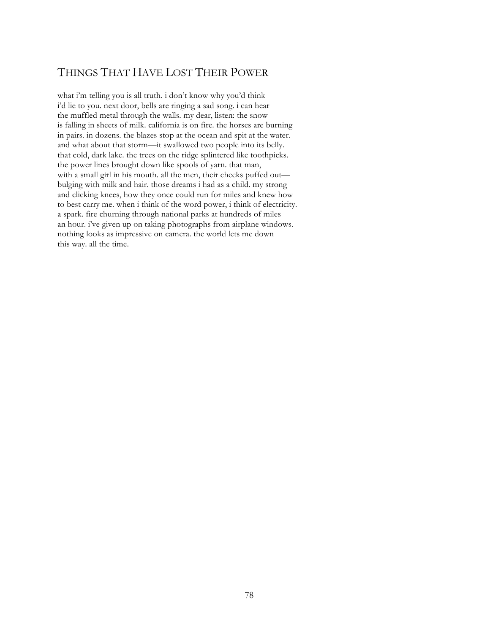# THINGS THAT HAVE LOST THEIR POWER

what i'm telling you is all truth. i don't know why you'd think i'd lie to you. next door, bells are ringing a sad song. i can hear the muffled metal through the walls. my dear, listen: the snow is falling in sheets of milk. california is on fire. the horses are burning in pairs. in dozens. the blazes stop at the ocean and spit at the water. and what about that storm—it swallowed two people into its belly. that cold, dark lake. the trees on the ridge splintered like toothpicks. the power lines brought down like spools of yarn. that man, with a small girl in his mouth. all the men, their cheeks puffed out bulging with milk and hair. those dreams i had as a child. my strong and clicking knees, how they once could run for miles and knew how to best carry me. when i think of the word power, i think of electricity. a spark. fire churning through national parks at hundreds of miles an hour. i've given up on taking photographs from airplane windows. nothing looks as impressive on camera. the world lets me down this way. all the time.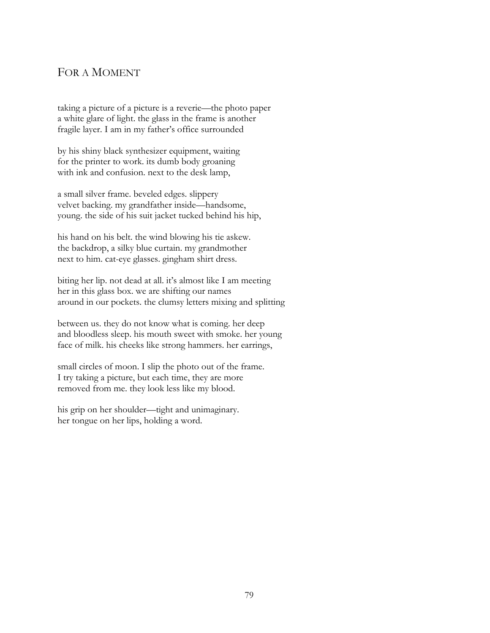#### FOR A MOMENT

taking a picture of a picture is a reverie—the photo paper a white glare of light. the glass in the frame is another fragile layer. I am in my father's office surrounded

by his shiny black synthesizer equipment, waiting for the printer to work. its dumb body groaning with ink and confusion. next to the desk lamp,

a small silver frame. beveled edges. slippery velvet backing. my grandfather inside—handsome, young. the side of his suit jacket tucked behind his hip,

his hand on his belt. the wind blowing his tie askew. the backdrop, a silky blue curtain. my grandmother next to him. cat-eye glasses. gingham shirt dress.

biting her lip. not dead at all. it's almost like I am meeting her in this glass box. we are shifting our names around in our pockets. the clumsy letters mixing and splitting

between us. they do not know what is coming. her deep and bloodless sleep. his mouth sweet with smoke. her young face of milk. his cheeks like strong hammers. her earrings,

small circles of moon. I slip the photo out of the frame. I try taking a picture, but each time, they are more removed from me. they look less like my blood.

his grip on her shoulder—tight and unimaginary. her tongue on her lips, holding a word.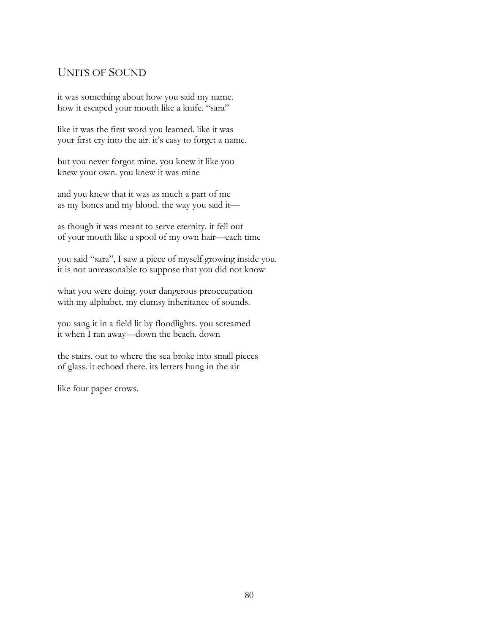#### UNITS OF SOUND

it was something about how you said my name. how it escaped your mouth like a knife. "sara"

like it was the first word you learned. like it was your first cry into the air. it's easy to forget a name.

but you never forgot mine. you knew it like you knew your own. you knew it was mine

and you knew that it was as much a part of me as my bones and my blood. the way you said it—

as though it was meant to serve eternity. it fell out of your mouth like a spool of my own hair—each time

you said "sara", I saw a piece of myself growing inside you. it is not unreasonable to suppose that you did not know

what you were doing. your dangerous preoccupation with my alphabet. my clumsy inheritance of sounds.

you sang it in a field lit by floodlights. you screamed it when I ran away—down the beach. down

the stairs. out to where the sea broke into small pieces of glass. it echoed there. its letters hung in the air

like four paper crows.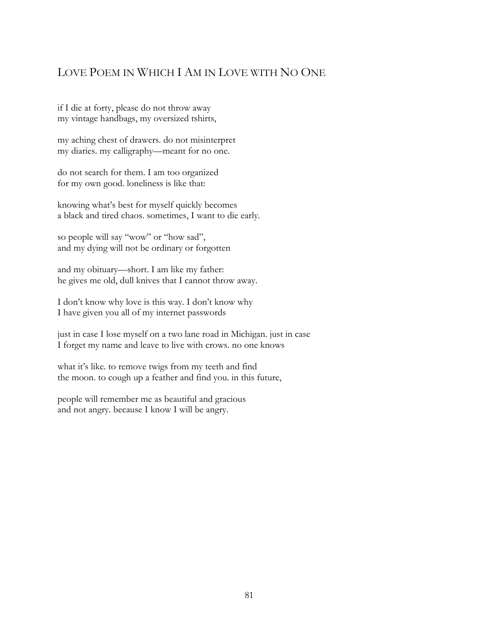# LOVE POEM IN WHICH I AM IN LOVE WITH NO ONE

if I die at forty, please do not throw away my vintage handbags, my oversized tshirts,

my aching chest of drawers. do not misinterpret my diaries. my calligraphy—meant for no one.

do not search for them. I am too organized for my own good. loneliness is like that:

knowing what's best for myself quickly becomes a black and tired chaos. sometimes, I want to die early.

so people will say "wow" or "how sad", and my dying will not be ordinary or forgotten

and my obituary—short. I am like my father: he gives me old, dull knives that I cannot throw away.

I don't know why love is this way. I don't know why I have given you all of my internet passwords

just in case I lose myself on a two lane road in Michigan. just in case I forget my name and leave to live with crows. no one knows

what it's like. to remove twigs from my teeth and find the moon. to cough up a feather and find you. in this future,

people will remember me as beautiful and gracious and not angry. because I know I will be angry.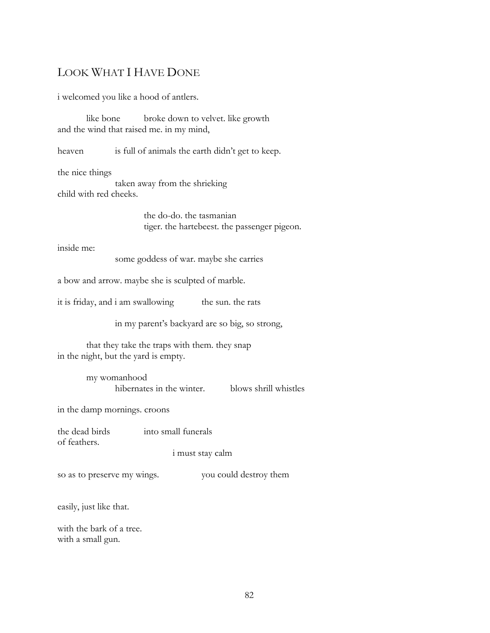# LOOK WHAT I HAVE DONE

i welcomed you like a hood of antlers.

like bone broke down to velvet. like growth and the wind that raised me. in my mind,

heaven is full of animals the earth didn't get to keep.

the nice things

taken away from the shrieking child with red cheeks.

> the do-do. the tasmanian tiger. the hartebeest. the passenger pigeon.

inside me:

some goddess of war. maybe she carries

a bow and arrow. maybe she is sculpted of marble.

it is friday, and i am swallowing the sun. the rats

in my parent's backyard are so big, so strong,

that they take the traps with them. they snap in the night, but the yard is empty.

> my womanhood hibernates in the winter. blows shrill whistles

in the damp mornings. croons

the dead birds into small funerals of feathers.

i must stay calm

so as to preserve my wings. you could destroy them

easily, just like that.

with the bark of a tree. with a small gun.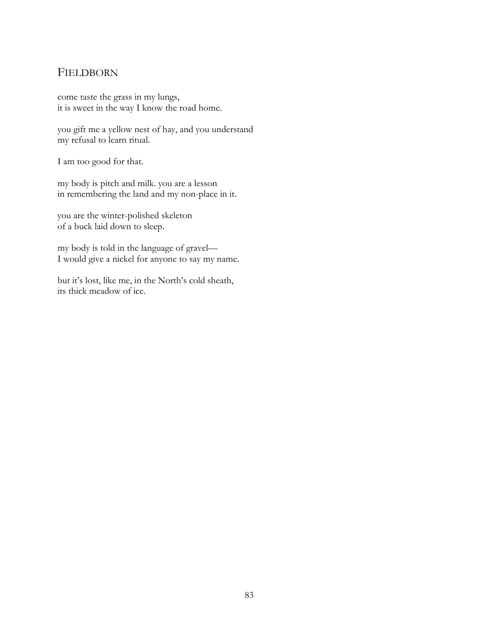#### FIELDBORN

come taste the grass in my lungs, it is sweet in the way I know the road home.

you gift me a yellow nest of hay, and you understand my refusal to learn ritual.

I am too good for that.

my body is pitch and milk. you are a lesson in remembering the land and my non-place in it.

you are the winter-polished skeleton of a buck laid down to sleep.

my body is told in the language of gravel— I would give a nickel for anyone to say my name.

but it's lost, like me, in the North's cold sheath, its thick meadow of ice.